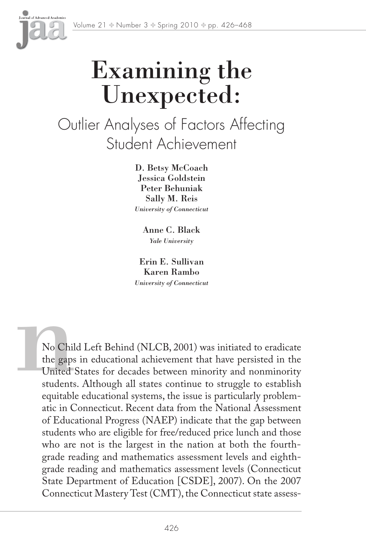

# Examining the Unexpected:

Outlier Analyses of Factors Affecting Student Achievement

> D. Betsy McCoach Jessica Goldstein Peter Behuniak Sally M. Reis *University of Connecticut*

> > Anne C. Black *Yale University*

Erin E. Sullivan Karen Rambo *University of Connecticut*

No Chil<br>the gaps<br>United S No Child Left Behind (NLCB, 2001) was initiated to eradicate the gaps in educational achievement that have persisted in the United States for decades between minority and nonminority students. Although all states continue to struggle to establish equitable educational systems, the issue is particularly problematic in Connecticut. Recent data from the National Assessment of Educational Progress (NAEP) indicate that the gap between students who are eligible for free/reduced price lunch and those who are not is the largest in the nation at both the fourthgrade reading and mathematics assessment levels and eighthgrade reading and mathematics assessment levels (Connecticut State Department of Education [CSDE], 2007). On the 2007 Connecticut Mastery Test (CMT), the Connecticut state assess-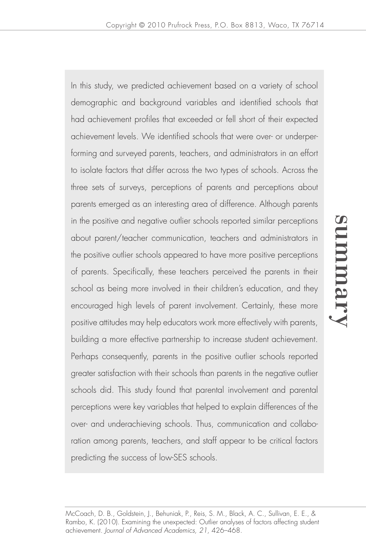In this study, we predicted achievement based on a variety of school demographic and background variables and identified schools that had achievement profiles that exceeded or fell short of their expected achievement levels. We identified schools that were over- or underperforming and surveyed parents, teachers, and administrators in an effort to isolate factors that differ across the two types of schools. Across the three sets of surveys, perceptions of parents and perceptions about parents emerged as an interesting area of difference. Although parents in the positive and negative outlier schools reported similar perceptions about parent/teacher communication, teachers and administrators in the positive outlier schools appeared to have more positive perceptions of parents. Specifically, these teachers perceived the parents in their school as being more involved in their children's education, and they encouraged high levels of parent involvement. Certainly, these more positive attitudes may help educators work more effectively with parents, building a more effective partnership to increase student achievement. Perhaps consequently, parents in the positive outlier schools reported greater satisfaction with their schools than parents in the negative outlier schools did. This study found that parental involvement and parental perceptions were key variables that helped to explain differences of the over- and underachieving schools. Thus, communication and collaboration among parents, teachers, and staff appear to be critical factors predicting the success of low-SES schools.

summusry summary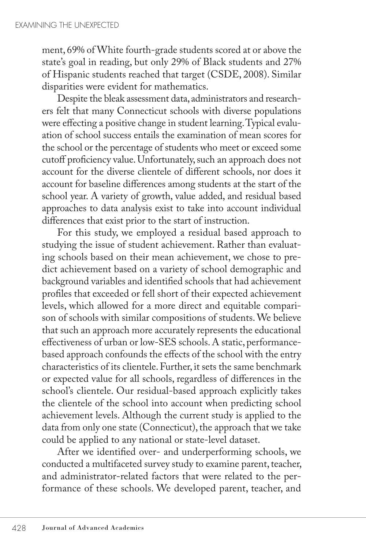ment, 69% of White fourth-grade students scored at or above the state's goal in reading, but only 29% of Black students and 27% of Hispanic students reached that target (CSDE, 2008). Similar disparities were evident for mathematics.

Despite the bleak assessment data, administrators and researchers felt that many Connecticut schools with diverse populations were effecting a positive change in student learning. Typical evaluation of school success entails the examination of mean scores for the school or the percentage of students who meet or exceed some cutoff proficiency value. Unfortunately, such an approach does not account for the diverse clientele of different schools, nor does it account for baseline differences among students at the start of the school year. A variety of growth, value added, and residual based approaches to data analysis exist to take into account individual differences that exist prior to the start of instruction.

For this study, we employed a residual based approach to studying the issue of student achievement. Rather than evaluating schools based on their mean achievement, we chose to predict achievement based on a variety of school demographic and background variables and identified schools that had achievement profiles that exceeded or fell short of their expected achievement levels, which allowed for a more direct and equitable comparison of schools with similar compositions of students. We believe that such an approach more accurately represents the educational effectiveness of urban or low-SES schools. A static, performancebased approach confounds the effects of the school with the entry characteristics of its clientele. Further, it sets the same benchmark or expected value for all schools, regardless of differences in the school's clientele. Our residual-based approach explicitly takes the clientele of the school into account when predicting school achievement levels. Although the current study is applied to the data from only one state (Connecticut), the approach that we take could be applied to any national or state-level dataset.

After we identified over- and underperforming schools, we conducted a multifaceted survey study to examine parent, teacher, and administrator-related factors that were related to the performance of these schools. We developed parent, teacher, and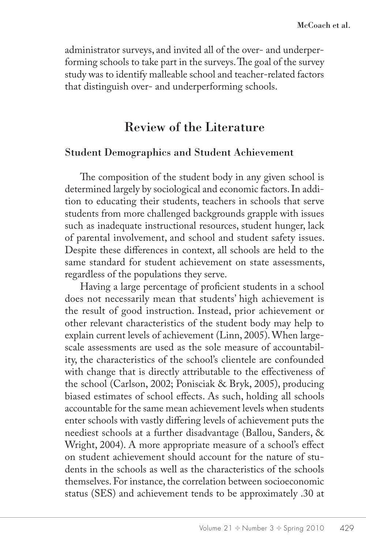administrator surveys, and invited all of the over- and underperforming schools to take part in the surveys. The goal of the survey study was to identify malleable school and teacher-related factors that distinguish over- and underperforming schools.

### Review of the Literature

#### Student Demographics and Student Achievement

The composition of the student body in any given school is determined largely by sociological and economic factors. In addition to educating their students, teachers in schools that serve students from more challenged backgrounds grapple with issues such as inadequate instructional resources, student hunger, lack of parental involvement, and school and student safety issues. Despite these differences in context, all schools are held to the same standard for student achievement on state assessments, regardless of the populations they serve.

Having a large percentage of proficient students in a school does not necessarily mean that students' high achievement is the result of good instruction. Instead, prior achievement or other relevant characteristics of the student body may help to explain current levels of achievement (Linn, 2005). When largescale assessments are used as the sole measure of accountability, the characteristics of the school's clientele are confounded with change that is directly attributable to the effectiveness of the school (Carlson, 2002; Ponisciak & Bryk, 2005), producing biased estimates of school effects. As such, holding all schools accountable for the same mean achievement levels when students enter schools with vastly differing levels of achievement puts the neediest schools at a further disadvantage (Ballou, Sanders, & Wright, 2004). A more appropriate measure of a school's effect on student achievement should account for the nature of students in the schools as well as the characteristics of the schools themselves. For instance, the correlation between socioeconomic status (SES) and achievement tends to be approximately .30 at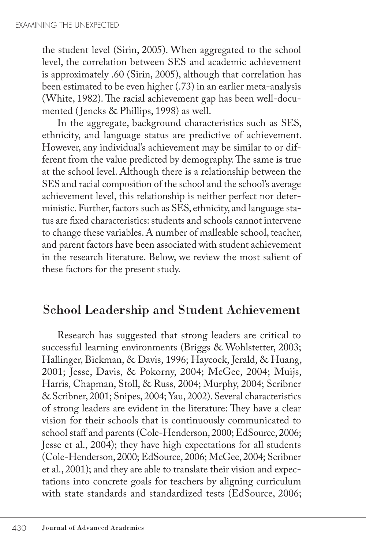the student level (Sirin, 2005). When aggregated to the school level, the correlation between SES and academic achievement is approximately .60 (Sirin, 2005), although that correlation has been estimated to be even higher (.73) in an earlier meta-analysis (White, 1982). The racial achievement gap has been well-documented ( Jencks & Phillips, 1998) as well.

In the aggregate, background characteristics such as SES, ethnicity, and language status are predictive of achievement. However, any individual's achievement may be similar to or different from the value predicted by demography. The same is true at the school level. Although there is a relationship between the SES and racial composition of the school and the school's average achievement level, this relationship is neither perfect nor deterministic. Further, factors such as SES, ethnicity, and language status are fixed characteristics: students and schools cannot intervene to change these variables. A number of malleable school, teacher, and parent factors have been associated with student achievement in the research literature. Below, we review the most salient of these factors for the present study.

# School Leadership and Student Achievement

Research has suggested that strong leaders are critical to successful learning environments (Briggs & Wohlstetter, 2003; Hallinger, Bickman, & Davis, 1996; Haycock, Jerald, & Huang, 2001; Jesse, Davis, & Pokorny, 2004; McGee, 2004; Muijs, Harris, Chapman, Stoll, & Russ, 2004; Murphy, 2004; Scribner & Scribner, 2001; Snipes, 2004; Yau, 2002). Several characteristics of strong leaders are evident in the literature: They have a clear vision for their schools that is continuously communicated to school staff and parents (Cole-Henderson, 2000; EdSource, 2006; Jesse et al., 2004); they have high expectations for all students (Cole-Henderson, 2000; EdSource, 2006; McGee, 2004; Scribner et al., 2001); and they are able to translate their vision and expectations into concrete goals for teachers by aligning curriculum with state standards and standardized tests (EdSource, 2006;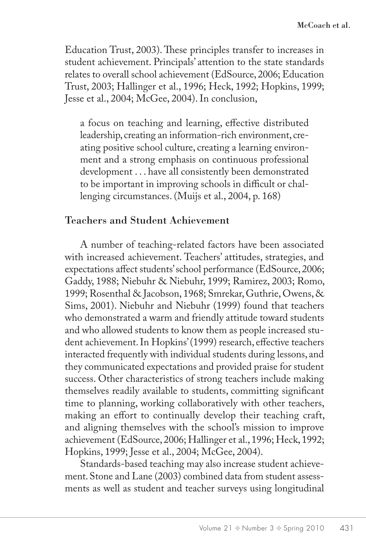Education Trust, 2003). These principles transfer to increases in student achievement. Principals' attention to the state standards relates to overall school achievement (EdSource, 2006; Education Trust, 2003; Hallinger et al., 1996; Heck, 1992; Hopkins, 1999; Jesse et al., 2004; McGee, 2004). In conclusion,

a focus on teaching and learning, effective distributed leadership, creating an information-rich environment, creating positive school culture, creating a learning environment and a strong emphasis on continuous professional development . . . have all consistently been demonstrated to be important in improving schools in difficult or challenging circumstances. (Muijs et al., 2004, p. 168)

#### Teachers and Student Achievement

A number of teaching-related factors have been associated with increased achievement. Teachers' attitudes, strategies, and expectations affect students' school performance (EdSource, 2006; Gaddy, 1988; Niebuhr & Niebuhr, 1999; Ramirez, 2003; Romo, 1999; Rosenthal & Jacobson, 1968; Smrekar, Guthrie, Owens, & Sims, 2001). Niebuhr and Niebuhr (1999) found that teachers who demonstrated a warm and friendly attitude toward students and who allowed students to know them as people increased student achievement. In Hopkins' (1999) research, effective teachers interacted frequently with individual students during lessons, and they communicated expectations and provided praise for student success. Other characteristics of strong teachers include making themselves readily available to students, committing significant time to planning, working collaboratively with other teachers, making an effort to continually develop their teaching craft, and aligning themselves with the school's mission to improve achievement (EdSource, 2006; Hallinger et al., 1996; Heck, 1992; Hopkins, 1999; Jesse et al., 2004; McGee, 2004).

Standards-based teaching may also increase student achievement. Stone and Lane (2003) combined data from student assessments as well as student and teacher surveys using longitudinal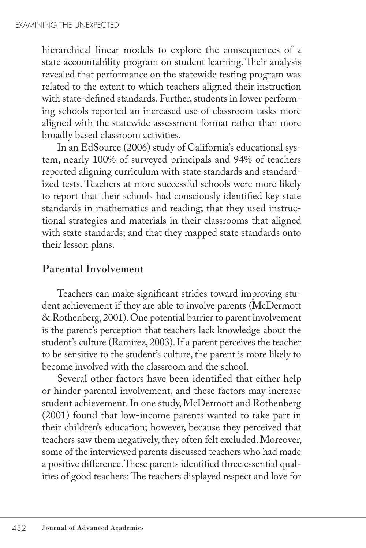hierarchical linear models to explore the consequences of a state accountability program on student learning. Their analysis revealed that performance on the statewide testing program was related to the extent to which teachers aligned their instruction with state-defined standards. Further, students in lower performing schools reported an increased use of classroom tasks more aligned with the statewide assessment format rather than more broadly based classroom activities.

In an EdSource (2006) study of California's educational system, nearly 100% of surveyed principals and 94% of teachers reported aligning curriculum with state standards and standardized tests. Teachers at more successful schools were more likely to report that their schools had consciously identified key state standards in mathematics and reading; that they used instructional strategies and materials in their classrooms that aligned with state standards; and that they mapped state standards onto their lesson plans.

#### Parental Involvement

Teachers can make significant strides toward improving student achievement if they are able to involve parents (McDermott & Rothenberg, 2001). One potential barrier to parent involvement is the parent's perception that teachers lack knowledge about the student's culture (Ramirez, 2003). If a parent perceives the teacher to be sensitive to the student's culture, the parent is more likely to become involved with the classroom and the school.

Several other factors have been identified that either help or hinder parental involvement, and these factors may increase student achievement. In one study, McDermott and Rothenberg (2001) found that low-income parents wanted to take part in their children's education; however, because they perceived that teachers saw them negatively, they often felt excluded. Moreover, some of the interviewed parents discussed teachers who had made a positive difference. These parents identified three essential qualities of good teachers: The teachers displayed respect and love for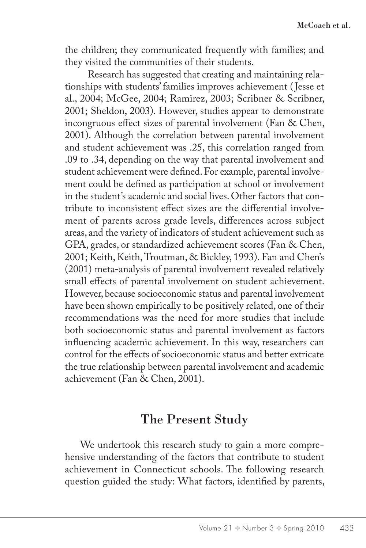the children; they communicated frequently with families; and they visited the communities of their students.

Research has suggested that creating and maintaining relationships with students' families improves achievement ( Jesse et al., 2004; McGee, 2004; Ramirez, 2003; Scribner & Scribner, 2001; Sheldon, 2003). However, studies appear to demonstrate incongruous effect sizes of parental involvement (Fan & Chen, 2001). Although the correlation between parental involvement and student achievement was .25, this correlation ranged from .09 to .34, depending on the way that parental involvement and student achievement were defined. For example, parental involvement could be defined as participation at school or involvement in the student's academic and social lives. Other factors that contribute to inconsistent effect sizes are the differential involvement of parents across grade levels, differences across subject areas, and the variety of indicators of student achievement such as GPA, grades, or standardized achievement scores (Fan & Chen, 2001; Keith, Keith, Troutman, & Bickley, 1993). Fan and Chen's (2001) meta-analysis of parental involvement revealed relatively small effects of parental involvement on student achievement. However, because socioeconomic status and parental involvement have been shown empirically to be positively related, one of their recommendations was the need for more studies that include both socioeconomic status and parental involvement as factors influencing academic achievement. In this way, researchers can control for the effects of socioeconomic status and better extricate the true relationship between parental involvement and academic achievement (Fan & Chen, 2001).

# The Present Study

We undertook this research study to gain a more comprehensive understanding of the factors that contribute to student achievement in Connecticut schools. The following research question guided the study: What factors, identified by parents,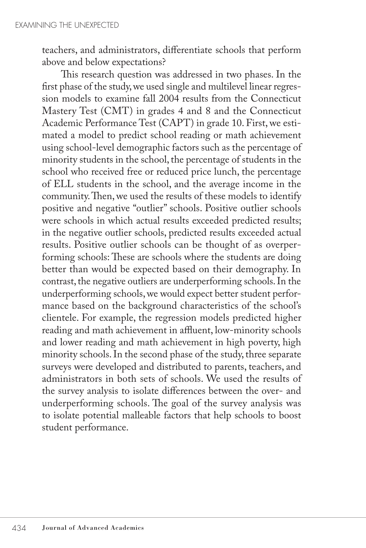teachers, and administrators, differentiate schools that perform above and below expectations?

This research question was addressed in two phases. In the first phase of the study, we used single and multilevel linear regression models to examine fall 2004 results from the Connecticut Mastery Test (CMT) in grades 4 and 8 and the Connecticut Academic Performance Test (CAPT) in grade 10. First, we estimated a model to predict school reading or math achievement using school-level demographic factors such as the percentage of minority students in the school, the percentage of students in the school who received free or reduced price lunch, the percentage of ELL students in the school, and the average income in the community. Then, we used the results of these models to identify positive and negative "outlier" schools. Positive outlier schools were schools in which actual results exceeded predicted results; in the negative outlier schools, predicted results exceeded actual results. Positive outlier schools can be thought of as overperforming schools: These are schools where the students are doing better than would be expected based on their demography. In contrast, the negative outliers are underperforming schools. In the underperforming schools, we would expect better student performance based on the background characteristics of the school's clientele. For example, the regression models predicted higher reading and math achievement in affluent, low-minority schools and lower reading and math achievement in high poverty, high minority schools. In the second phase of the study, three separate surveys were developed and distributed to parents, teachers, and administrators in both sets of schools. We used the results of the survey analysis to isolate differences between the over- and underperforming schools. The goal of the survey analysis was to isolate potential malleable factors that help schools to boost student performance.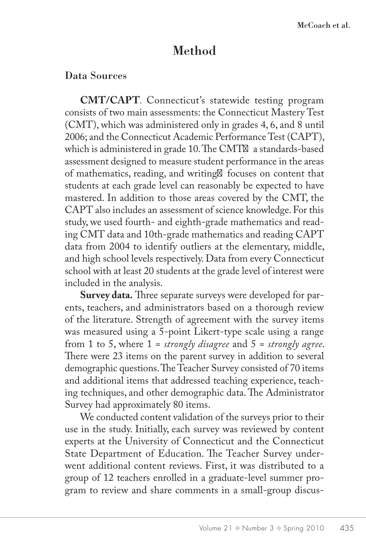# Method

#### Data Sources

**CMT/CAPT***.* Connecticut's statewide testing program consists of two main assessments: the Connecticut Mastery Test (CMT), which was administered only in grades 4, 6, and 8 until 2006; and the Connecticut Academic Performance Test (CAPT), which is administered in grade 10. The CMTM a standards-based assessment designed to measure student performance in the areas of mathematics, reading, and writingÐ focuses on content that students at each grade level can reasonably be expected to have mastered. In addition to those areas covered by the CMT, the CAPT also includes an assessment of science knowledge. For this study, we used fourth- and eighth-grade mathematics and reading CMT data and 10th-grade mathematics and reading CAPT data from 2004 to identify outliers at the elementary, middle, and high school levels respectively. Data from every Connecticut school with at least 20 students at the grade level of interest were included in the analysis.

**Survey data.** Three separate surveys were developed for parents, teachers, and administrators based on a thorough review of the literature. Strength of agreement with the survey items was measured using a 5-point Likert-type scale using a range from 1 to 5, where 1 = *strongly disagree* and 5 = *strongly agree*. There were 23 items on the parent survey in addition to several demographic questions. The Teacher Survey consisted of 70 items and additional items that addressed teaching experience, teaching techniques, and other demographic data. The Administrator Survey had approximately 80 items.

We conducted content validation of the surveys prior to their use in the study. Initially, each survey was reviewed by content experts at the University of Connecticut and the Connecticut State Department of Education. The Teacher Survey underwent additional content reviews. First, it was distributed to a group of 12 teachers enrolled in a graduate-level summer program to review and share comments in a small-group discus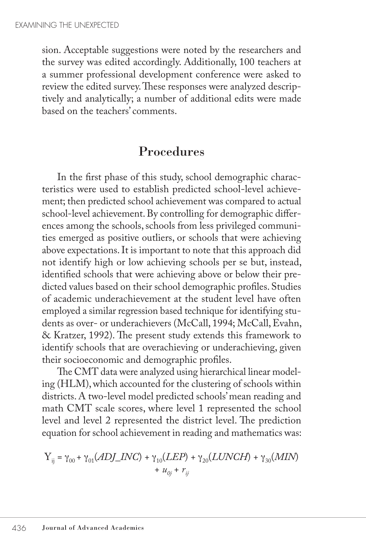sion. Acceptable suggestions were noted by the researchers and the survey was edited accordingly. Additionally, 100 teachers at a summer professional development conference were asked to review the edited survey. These responses were analyzed descriptively and analytically; a number of additional edits were made based on the teachers' comments.

# Procedures

In the first phase of this study, school demographic characteristics were used to establish predicted school-level achievement; then predicted school achievement was compared to actual school-level achievement. By controlling for demographic differences among the schools, schools from less privileged communities emerged as positive outliers, or schools that were achieving above expectations. It is important to note that this approach did not identify high or low achieving schools per se but, instead, identified schools that were achieving above or below their predicted values based on their school demographic profiles. Studies of academic underachievement at the student level have often employed a similar regression based technique for identifying students as over- or underachievers (McCall, 1994; McCall, Evahn, & Kratzer, 1992). The present study extends this framework to identify schools that are overachieving or underachieving, given their socioeconomic and demographic profiles.

The CMT data were analyzed using hierarchical linear modeling (HLM), which accounted for the clustering of schools within districts. A two-level model predicted schools' mean reading and math CMT scale scores, where level 1 represented the school level and level 2 represented the district level. The prediction equation for school achievement in reading and mathematics was:

$$
Y_{ij} = \gamma_{00} + \gamma_{01}(ADJ\_INC) + \gamma_{10}(LEP) + \gamma_{20}(LUNCH) + \gamma_{30}(MIN) + u_{0j} + r_{ij}
$$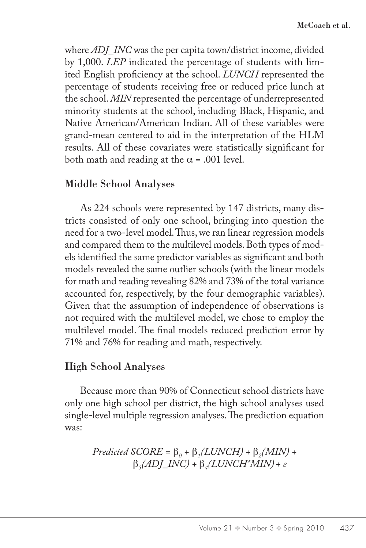where *ADJ\_INC* was the per capita town/district income, divided by 1,000. *LEP* indicated the percentage of students with limited English proficiency at the school. *LUNCH* represented the percentage of students receiving free or reduced price lunch at the school. *MIN* represented the percentage of underrepresented minority students at the school, including Black, Hispanic, and Native American/American Indian. All of these variables were grand-mean centered to aid in the interpretation of the HLM results. All of these covariates were statistically significant for both math and reading at the  $\alpha$  = .001 level.

#### Middle School Analyses

As 224 schools were represented by 147 districts, many districts consisted of only one school, bringing into question the need for a two-level model. Thus, we ran linear regression models and compared them to the multilevel models. Both types of models identified the same predictor variables as significant and both models revealed the same outlier schools (with the linear models for math and reading revealing 82% and 73% of the total variance accounted for, respectively, by the four demographic variables). Given that the assumption of independence of observations is not required with the multilevel model, we chose to employ the multilevel model. The final models reduced prediction error by 71% and 76% for reading and math, respectively.

#### High School Analyses

Because more than 90% of Connecticut school districts have only one high school per district, the high school analyses used single-level multiple regression analyses. The prediction equation was:

$$
Predicted SCORE = \beta_o + \beta_1(LUNCH) + \beta_2(MIN) + \beta_3(ADJ\_INC) + \beta_4(LUNCH^*MIN) + e
$$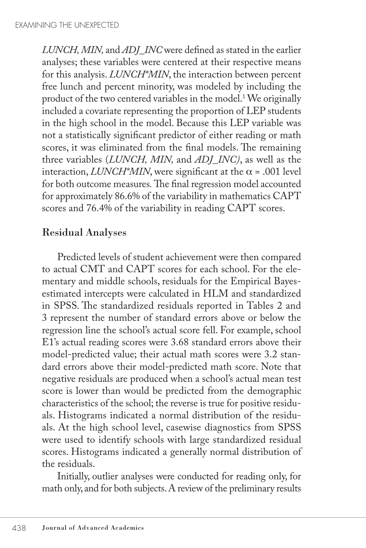*LUNCH, MIN,* and *ADJ\_INC* were defined as stated in the earlier analyses; these variables were centered at their respective means for this analysis. *LUNCH\*MIN*, the interaction between percent free lunch and percent minority, was modeled by including the product of the two centered variables in the model.1 We originally included a covariate representing the proportion of LEP students in the high school in the model. Because this LEP variable was not a statistically significant predictor of either reading or math scores, it was eliminated from the final models. The remaining three variables (*LUNCH, MIN,* and *ADJ\_INC)*, as well as the interaction, *LUNCH\*MIN*, were significant at the  $\alpha$  = .001 level for both outcome measures*.* The final regression model accounted for approximately 86.6% of the variability in mathematics CAPT scores and 76.4% of the variability in reading CAPT scores.

#### Residual Analyses

Predicted levels of student achievement were then compared to actual CMT and CAPT scores for each school. For the elementary and middle schools, residuals for the Empirical Bayesestimated intercepts were calculated in HLM and standardized in SPSS. The standardized residuals reported in Tables 2 and 3 represent the number of standard errors above or below the regression line the school's actual score fell. For example, school E1's actual reading scores were 3.68 standard errors above their model-predicted value; their actual math scores were 3.2 standard errors above their model-predicted math score. Note that negative residuals are produced when a school's actual mean test score is lower than would be predicted from the demographic characteristics of the school; the reverse is true for positive residuals. Histograms indicated a normal distribution of the residuals. At the high school level, casewise diagnostics from SPSS were used to identify schools with large standardized residual scores. Histograms indicated a generally normal distribution of the residuals.

Initially, outlier analyses were conducted for reading only, for math only, and for both subjects. A review of the preliminary results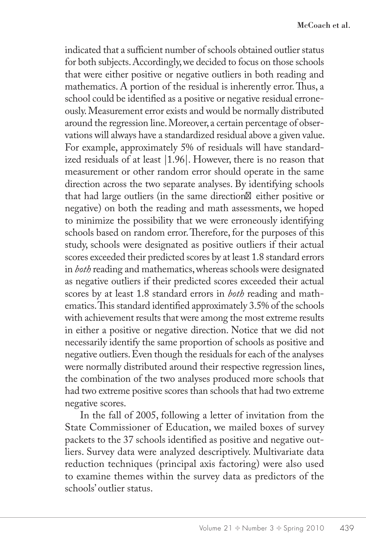indicated that a sufficient number of schools obtained outlier status for both subjects. Accordingly, we decided to focus on those schools that were either positive or negative outliers in both reading and mathematics. A portion of the residual is inherently error. Thus, a school could be identified as a positive or negative residual erroneously. Measurement error exists and would be normally distributed around the regression line. Moreover, a certain percentage of observations will always have a standardized residual above a given value. For example, approximately 5% of residuals will have standardized residuals of at least |1.96|. However, there is no reason that measurement or other random error should operate in the same direction across the two separate analyses. By identifying schools that had large outliers (in the same directionÐ either positive or negative) on both the reading and math assessments, we hoped to minimize the possibility that we were erroneously identifying schools based on random error. Therefore, for the purposes of this study, schools were designated as positive outliers if their actual scores exceeded their predicted scores by at least 1.8 standard errors in *both* reading and mathematics, whereas schools were designated as negative outliers if their predicted scores exceeded their actual scores by at least 1.8 standard errors in *both* reading and mathematics. This standard identified approximately 3.5% of the schools with achievement results that were among the most extreme results in either a positive or negative direction. Notice that we did not necessarily identify the same proportion of schools as positive and negative outliers. Even though the residuals for each of the analyses were normally distributed around their respective regression lines, the combination of the two analyses produced more schools that had two extreme positive scores than schools that had two extreme negative scores.

In the fall of 2005, following a letter of invitation from the State Commissioner of Education, we mailed boxes of survey packets to the 37 schools identified as positive and negative outliers. Survey data were analyzed descriptively. Multivariate data reduction techniques (principal axis factoring) were also used to examine themes within the survey data as predictors of the schools' outlier status.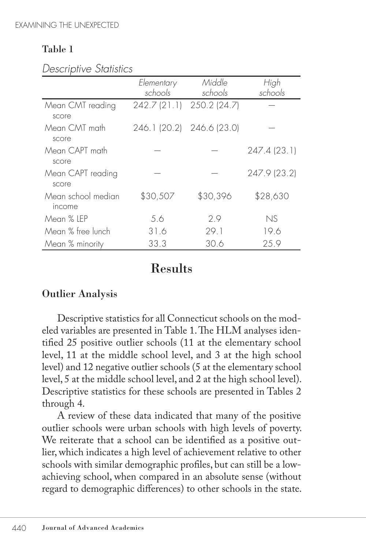#### *Descriptive Statistics*

|                              | Elementary<br>schools     | Middle<br>schools | High<br>schools |
|------------------------------|---------------------------|-------------------|-----------------|
| Mean CMT reading<br>score    | 242.7(21.1)               | 250.2 (24.7)      |                 |
| Mean CMT math<br>score       | 246.1 (20.2) 246.6 (23.0) |                   |                 |
| Mean CAPT math<br>score      |                           |                   | 247.4 (23.1)    |
| Mean CAPT reading<br>score   |                           |                   | 247.9 (23.2)    |
| Mean school median<br>income | \$30,507                  | \$30,396          | \$28,630        |
| Mean % LEP                   | 5.6                       | 2.9               | NS              |
| Mean % free lunch            | 31.6                      | 29.1              | 19.6            |
| Mean % minority              | 33.3                      | 30.6              | 25.9            |

# Results

#### Outlier Analysis

Descriptive statistics for all Connecticut schools on the modeled variables are presented in Table 1. The HLM analyses identified 25 positive outlier schools (11 at the elementary school level, 11 at the middle school level, and 3 at the high school level) and 12 negative outlier schools (5 at the elementary school level, 5 at the middle school level, and 2 at the high school level). Descriptive statistics for these schools are presented in Tables 2 through 4.

A review of these data indicated that many of the positive outlier schools were urban schools with high levels of poverty. We reiterate that a school can be identified as a positive outlier, which indicates a high level of achievement relative to other schools with similar demographic profiles, but can still be a lowachieving school, when compared in an absolute sense (without regard to demographic differences) to other schools in the state.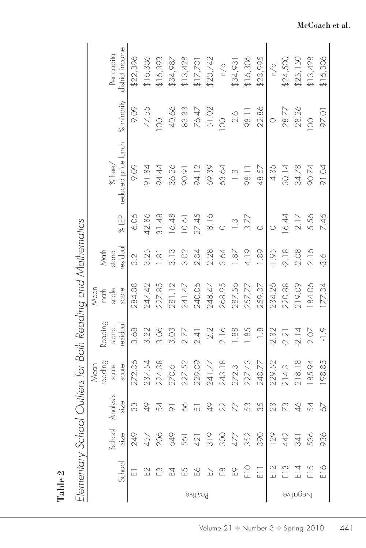| ハニウム クイラニ                 |
|---------------------------|
| -<br>5<br>-<br>J          |
| )<br>ゾニランニ                |
| ;<br>)<br>Ĺ               |
|                           |
| (                         |
| こうくらく<br>)<br>)<br>)<br>) |
| ノ・ミン こうさんきょう<br>l         |

|                              |                                                                                                                                                         |                |          | Mean    |               | Mean     |                                    |               |                     |                       |                               |
|------------------------------|---------------------------------------------------------------------------------------------------------------------------------------------------------|----------------|----------|---------|---------------|----------|------------------------------------|---------------|---------------------|-----------------------|-------------------------------|
|                              |                                                                                                                                                         |                |          | reading | Reading       | math     | Math                               |               |                     |                       |                               |
|                              |                                                                                                                                                         |                | Analysis | scale   | stand.        | $s$ cale | stand.                             |               | $%$ free/           |                       | Per capita<br>district income |
|                              | School                                                                                                                                                  | School<br>size | size     | score   | residual      | score    | esidual                            | $%$ LEP       | reduced price lunch | % minority            |                               |
|                              |                                                                                                                                                         |                | 33       | 272.36  | 3.68          | 284.88   | S.S                                | 6.06          | 9.09                | 9.09                  | \$22,396                      |
|                              |                                                                                                                                                         |                |          | 237.54  | 3.22          | 247.42   | 3.25                               | 42.86         | 91.84               | 77.55                 | \$16,306                      |
|                              | 2 3 4 5 6 7 8 9 9 0 1<br>2 4 5 6 7 8 9 0 1 1                                                                                                            |                |          | 224.38  | 3.06          | 227.85   | $\begin{array}{c} 1.8 \end{array}$ | 31.48         | 94.44               | $\overline{\text{O}}$ | \$16,393                      |
|                              |                                                                                                                                                         |                |          | 270.6   | 3.03          | 281.12   | 3.13                               | 16.48         | 36.26               | 40.66                 | \$34,987                      |
|                              |                                                                                                                                                         |                |          | 227.52  | 2.77          | 241.47   | 3.02                               | 10.61         | 90.91               | 83.33                 | \$13,428                      |
| <b><i><u>Ovitico</u></i></b> |                                                                                                                                                         |                |          | 229.09  | 2.41          | 240.06   | 2.84                               | 27.45         | 94.12               | 76.47                 | \$17,701                      |
|                              |                                                                                                                                                         |                |          | 241.77  | 2.2           | 248.47   | 2.28                               | 8.16          | 69.39               | 51.02                 | \$20,742                      |
|                              |                                                                                                                                                         |                |          | 243.18  | 2.16          | 268.95   | 3.64                               |               | 63.64               | $\overline{\circ}$    | $\frac{1}{2}$                 |
|                              |                                                                                                                                                         |                |          | 272.3   | 1.88          | 287.56   | 1.87                               | $\frac{3}{1}$ | $\frac{3}{2}$       | $2.\overline{6}$      | \$34,931                      |
|                              |                                                                                                                                                         |                | 53       | 227.43  | 1.85          | 257.77   | 4.19                               | 3.77          | 98.11               | 98.11                 | \$16,306                      |
|                              |                                                                                                                                                         |                | 35       | 248.77  | $\frac{8}{1}$ | 259.37   | 1.89                               |               | 48.57               | 22.86                 | \$23,995                      |
|                              |                                                                                                                                                         |                | 23       | 229.52  | $-2.32$       | 234.26   | $-1.95$                            |               | 4.35                | $\circ$               | $n/\sigma$                    |
|                              | $\begin{array}{ l } \hline \Box \ \Box \ \Box \ \Box \\ \hline \ \Box \ \Box \ \Box \ \Box \\ \hline \ \Box \ \Box \ \Box \ \Box \\ \hline \end{array}$ |                |          | 214.3   | $-2.21$       | 220.88   | 2.18                               | 16.44         | 30.14               | 28.77                 | \$24,500                      |
| <b>Negative</b>              |                                                                                                                                                         |                | 46       | 218.18  | $-2.14$       | 219.09   | $-2.08$                            | $\frac{1}{2}$ | 34.78               | 28.26                 | \$25,150                      |
|                              |                                                                                                                                                         |                | 54       | 85.94   | 2.07          | 184.06   | 2.16                               | 5.56          | 90.74               | $\overline{\text{O}}$ | \$13,428                      |
|                              |                                                                                                                                                         |                |          | 198.85  | $\frac{1}{1}$ | 77.34    | $\frac{8}{3}$                      | 7.46          | 91.04               | 97.01                 | \$16,306                      |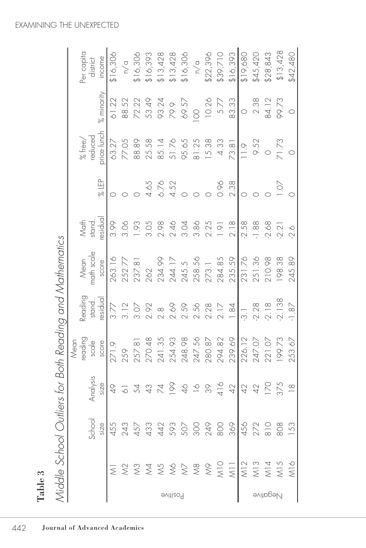|                              | l'able 3      |                    |                                        |                   |                    |                                                         |                   |               |                        |                       |                    |
|------------------------------|---------------|--------------------|----------------------------------------|-------------------|--------------------|---------------------------------------------------------|-------------------|---------------|------------------------|-----------------------|--------------------|
|                              |               |                    |                                        |                   |                    | Aiddle School Outliers for Both Reading and Mathematics |                   |               |                        |                       |                    |
|                              |               |                    |                                        | reading<br>Mean   | Reading            | Mean                                                    | Math              |               | % free/                |                       | Per capita         |
|                              |               | ᅙ<br>size<br>Schoo | Analysis<br>size                       | $s$ cale<br>score | residual<br>stand. | math scale<br>score                                     | loubiae<br>stand. | % LEP         | orice lunch<br>reduced | % minority            | income<br>district |
|                              | $\leq$        | 455                | 40                                     | 271.9             | 3.77               | 263.16                                                  | 3.99              |               | 63.27                  | 61.22                 | \$16,306           |
|                              |               | 243                | $\overline{\circ}$                     | 259               | 3.12               | 252.77                                                  | 3.06              |               | 77.05                  | 88.52                 | $n/\sigma$         |
|                              |               | 457                | 54                                     | 257.81            | 3.07               | 237.81                                                  | 1.93              |               | 88.89                  | 72.22                 | \$16,306           |
|                              | $88888888877$ | 433                | $\begin{array}{c} 42 \\ 4 \end{array}$ | 270.48            | 2.92               | 262                                                     | 3.05              | 4.65          | 25.58                  | 53.49                 | \$16,393           |
|                              |               | 442                |                                        | 241.35            | $2.8$              | 234.99                                                  | 2.98              | 6.76          | 85.14                  | 93.24                 | \$13,428           |
| <b><i><u>Ovitizo</u></i></b> |               | 593                | 199                                    | 254.93            | 2.69               | 244.17                                                  | 2.46              | 4.52          | 51.76                  | 79.9                  | \$13,428           |
|                              |               | 507                | $\frac{4}{6}$                          | 248.98            | 2.59               | 245.5                                                   | 3.04              |               | 95.65                  | 69.57                 | \$16,306           |
|                              |               | 300                | $\overline{\circ}$                     | 247.56            | 2.56               | 258.56                                                  | 3.86              |               | 81.25                  | $\overline{\text{O}}$ | $\frac{1}{2}$      |
|                              |               | 249                | 39                                     | 280.87            | 2.28               | 273.1                                                   | 2.25              |               | 15.38                  | 10.26                 | \$22,396           |
|                              |               | 800                | 416                                    | 294.82            | 2.17               | 284.85                                                  | $\overline{0}$    | 0.96          | 4.33                   | 5.77                  | \$39,710           |
|                              |               | 369                | 42                                     | 239.69            | 1.84               | 235.59                                                  | 2.18              | 2.38          | 73.81                  | 83.33                 | \$16,393           |
|                              | M12           | 456                | 42                                     | 226.12            | $-3.1$             | 231.76                                                  | $-2.58$           | $\circ$       | $\frac{1}{1}$          | $\circ$               | \$19,680           |
|                              | M13           | 272                | 42                                     | 247.07            | $-2.28$            | 251.36                                                  | $-1.88$           |               | 9.52                   | 2.38                  | \$45,420           |
| <b>Negative</b>              | M14           | $\frac{1}{8}$      | 170                                    | 221.07            | $-2.18$            | 210.98                                                  | $-2.68$           |               | $\circ$                | 84.12                 | \$28,843           |
|                              |               | 808                | 375                                    | 199.73            | $-2.138$           | 198.38                                                  | $-2.21$           | $\frac{1}{2}$ | 71.73                  | 99.73                 | \$13,428           |
|                              | $\frac{1}{2}$ | 153                | $\approx$                              | 253.67            | $-1.87$            | 245.89                                                  | $-2.6$            |               | $\circ$                | $\circ$               | \$42,480           |
|                              |               |                    |                                        |                   |                    |                                                         |                   |               |                        |                       |                    |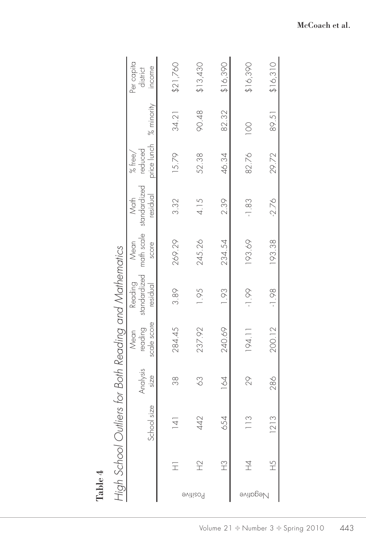|                                           | Per capita<br>income<br>district    | \$21,760       | \$13,430                     | \$16,390     | \$16,390         | \$16,310 |
|-------------------------------------------|-------------------------------------|----------------|------------------------------|--------------|------------------|----------|
|                                           | % minority                          | 34.21          | 90.48                        | 82.32        | $\overline{100}$ | 89.51    |
|                                           | price lunch<br>reduced<br>% tree,   | 15.79          | 52.38                        | 46.34        | 82.76            | 29.72    |
|                                           | standardized<br>residual<br>Nath    | 3.32           | 4.15                         | 2.39         | $-1.83$          | $-2.76$  |
|                                           | math scale<br>Mean<br>score         | 269.29         | 245.26                       | 234.54       | 193.69           | 193.38   |
| Outliers for Both Reading and Mathematics | standardized<br>Reading<br>residual | 3.89           | 1.95                         | 1.93         | $-1.99$          | $-1.98$  |
|                                           | reading<br>scale score<br>Mean      | 284.45         | 237.92                       | 240.69       | 194.11           | 200.12   |
|                                           | Analysis<br>size                    | 88             | 63                           | 164          | 29               | 286      |
|                                           | School size                         | $\overline{4}$ | 442                          | 654          | $\frac{3}{5}$    | 1213     |
| ah School                                 |                                     | Ī              | $\widetilde{\pm}$            | $\mathbb{P}$ | 辛                |          |
|                                           |                                     |                | <b><i><u>Ovitico</u></i></b> |              | əvitpgəM         |          |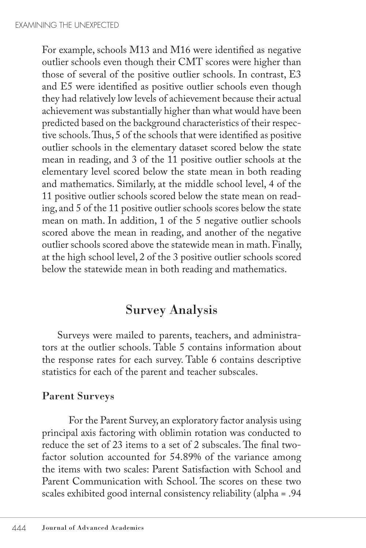For example, schools M13 and M16 were identified as negative outlier schools even though their CMT scores were higher than those of several of the positive outlier schools. In contrast, E3 and E5 were identified as positive outlier schools even though they had relatively low levels of achievement because their actual achievement was substantially higher than what would have been predicted based on the background characteristics of their respective schools. Thus, 5 of the schools that were identified as positive outlier schools in the elementary dataset scored below the state mean in reading, and 3 of the 11 positive outlier schools at the elementary level scored below the state mean in both reading and mathematics. Similarly, at the middle school level, 4 of the 11 positive outlier schools scored below the state mean on reading, and 5 of the 11 positive outlier schools scores below the state mean on math. In addition, 1 of the 5 negative outlier schools scored above the mean in reading, and another of the negative outlier schools scored above the statewide mean in math. Finally, at the high school level, 2 of the 3 positive outlier schools scored below the statewide mean in both reading and mathematics.

# Survey Analysis

Surveys were mailed to parents, teachers, and administrators at the outlier schools. Table 5 contains information about the response rates for each survey. Table 6 contains descriptive statistics for each of the parent and teacher subscales.

#### Parent Surveys

For the Parent Survey, an exploratory factor analysis using principal axis factoring with oblimin rotation was conducted to reduce the set of 23 items to a set of 2 subscales. The final twofactor solution accounted for 54.89% of the variance among the items with two scales: Parent Satisfaction with School and Parent Communication with School. The scores on these two scales exhibited good internal consistency reliability (alpha = .94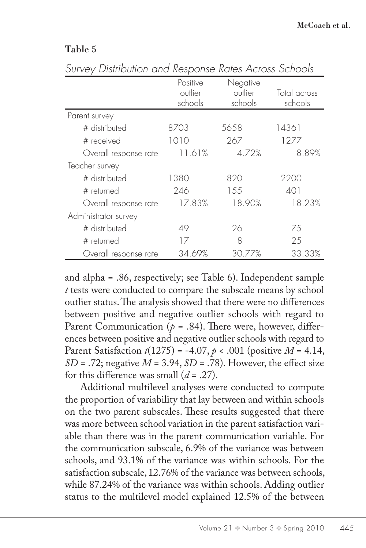| <b>SURVEY DISTINUINUI UNU NESPONSE NUIES ACTOSS SCHOOIS</b> |                                |                                |                         |
|-------------------------------------------------------------|--------------------------------|--------------------------------|-------------------------|
|                                                             | Positive<br>outlier<br>schools | Negative<br>outlier<br>schools | Total across<br>schools |
| Parent survey                                               |                                |                                |                         |
| # distributed                                               | 8703                           | 5658                           | 14361                   |
| # received                                                  | 1010                           | 267                            | 1277                    |
| Overall response rate                                       | 11.61%                         | 4.72%                          | 8.89%                   |
| Teacher survey                                              |                                |                                |                         |
| # distributed                                               | 1380                           | 820                            | 2200                    |
| # returned                                                  | 246                            | 155                            | 401                     |
| Overall response rate                                       | 17.83%                         | 18.90%                         | 18.23%                  |
| Administrator survey                                        |                                |                                |                         |
| # distributed                                               | 49                             | 26                             | 75                      |
| # returned                                                  | 17                             | 8                              | 25                      |
| Overall response rate                                       | 34.69%                         | 30.77%                         | 33.33%                  |

*Survey Distribution and Response Rates Across Schools*

and alpha = .86, respectively; see Table 6). Independent sample *t* tests were conducted to compare the subscale means by school outlier status. The analysis showed that there were no differences between positive and negative outlier schools with regard to Parent Communication ( $p = .84$ ). There were, however, differences between positive and negative outlier schools with regard to Parent Satisfaction  $t(1275) = -4.07$ ,  $p < .001$  (positive  $M = 4.14$ , *SD* = .72; negative  $M = 3.94$ , *SD* = .78). However, the effect size for this difference was small (*d* = .27).

Additional multilevel analyses were conducted to compute the proportion of variability that lay between and within schools on the two parent subscales. These results suggested that there was more between school variation in the parent satisfaction variable than there was in the parent communication variable. For the communication subscale, 6.9% of the variance was between schools, and 93.1% of the variance was within schools. For the satisfaction subscale, 12.76% of the variance was between schools, while 87.24% of the variance was within schools. Adding outlier status to the multilevel model explained 12.5% of the between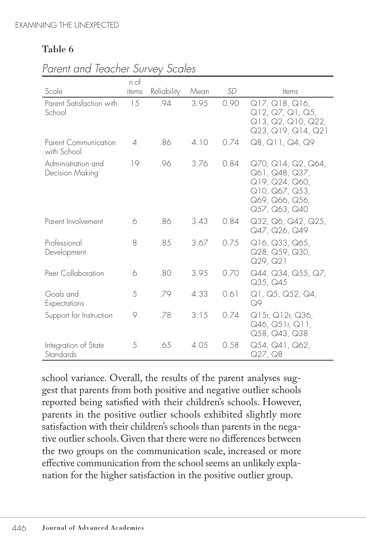|                                            | $n \circ f$              |             |      |           |                                                                                                             |
|--------------------------------------------|--------------------------|-------------|------|-----------|-------------------------------------------------------------------------------------------------------------|
| Scale                                      | items                    | Reliability | Mean | <i>SD</i> | Items                                                                                                       |
| Parent Satisfaction with<br>School         | 15                       | .94         | 3.95 | 0.90      | Q17, Q18, Q16,<br>Q12, Q7, Q1, Q5,<br>Q13, Q2, Q10, Q22,<br>Q23, Q19, Q14, Q21                              |
| <b>Parent Communication</b><br>with School | $\overline{\mathcal{A}}$ | .86         | 4.10 | 0.74      | Q8, Q11, Q4, Q9                                                                                             |
| Administration and<br>Decision Making      | 19                       | .96         | 3.76 | 0.84      | Q70, Q14, Q2, Q64,<br>Q61, Q48, Q37,<br>Q19, Q24, Q60,<br>Q10, Q67, Q53,<br>Q69, Q66, Q56,<br>Q57, Q63, Q40 |
| Parent Involvement                         | 6                        | .86         | 3.43 | 0.84      | Q32, Q6, Q42, Q25,<br>Q47, Q26, Q49                                                                         |
| Professional<br>Development                | 8                        | .85         | 3.67 | 0.75      | Q16, Q33, Q65,<br>Q28, Q59, Q30,<br>Q29, Q21                                                                |
| Peer Collaboration                         | 6                        | .80         | 3.95 | 0.70      | Q44, Q34, Q55, Q7,<br>Q35, Q45                                                                              |
| Goals and<br>Expectations                  | 5                        | 79          | 4 33 | 0.61      | Q1, Q5, Q52, Q4,<br>QQ                                                                                      |
| Support for Instruction                    | 9                        | .78         | 3.15 | 0.74      | Q15r, Q12r, Q36,<br>Q46, Q51r, Q11,<br>Q58, Q43, Q38                                                        |
| Integration of State<br>Standards          | 5                        | .65         | 4.05 | 0.58      | Q54, Q41, Q62,<br>Q27, Q8                                                                                   |

# *Parent and Teacher Survey Scales*

school variance. Overall, the results of the parent analyses suggest that parents from both positive and negative outlier schools reported being satisfied with their children's schools. However, parents in the positive outlier schools exhibited slightly more satisfaction with their children's schools than parents in the negative outlier schools. Given that there were no differences between the two groups on the communication scale, increased or more effective communication from the school seems an unlikely explanation for the higher satisfaction in the positive outlier group.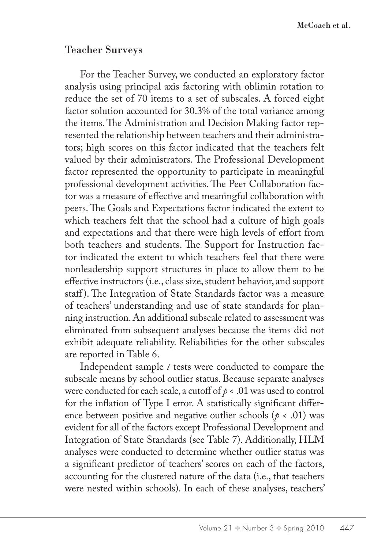#### Teacher Surveys

For the Teacher Survey, we conducted an exploratory factor analysis using principal axis factoring with oblimin rotation to reduce the set of 70 items to a set of subscales. A forced eight factor solution accounted for 30.3% of the total variance among the items. The Administration and Decision Making factor represented the relationship between teachers and their administrators; high scores on this factor indicated that the teachers felt valued by their administrators. The Professional Development factor represented the opportunity to participate in meaningful professional development activities. The Peer Collaboration factor was a measure of effective and meaningful collaboration with peers. The Goals and Expectations factor indicated the extent to which teachers felt that the school had a culture of high goals and expectations and that there were high levels of effort from both teachers and students. The Support for Instruction factor indicated the extent to which teachers feel that there were nonleadership support structures in place to allow them to be effective instructors (i.e., class size, student behavior, and support staff ). The Integration of State Standards factor was a measure of teachers' understanding and use of state standards for planning instruction. An additional subscale related to assessment was eliminated from subsequent analyses because the items did not exhibit adequate reliability. Reliabilities for the other subscales are reported in Table 6.

Independent sample *t* tests were conducted to compare the subscale means by school outlier status. Because separate analyses were conducted for each scale, a cutoff of *p* < .01 was used to control for the inflation of Type I error. A statistically significant difference between positive and negative outlier schools  $(p < .01)$  was evident for all of the factors except Professional Development and Integration of State Standards (see Table 7). Additionally, HLM analyses were conducted to determine whether outlier status was a significant predictor of teachers' scores on each of the factors, accounting for the clustered nature of the data (i.e., that teachers were nested within schools). In each of these analyses, teachers'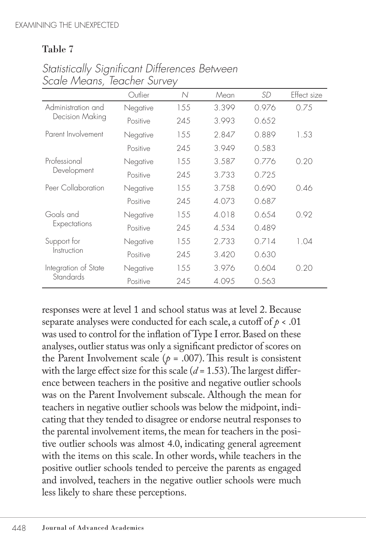|                      | Outlier  | $\mathcal N$ | Mean  | <i>SD</i> | Effect size |
|----------------------|----------|--------------|-------|-----------|-------------|
| Administration and   | Negative | 155          | 3.399 | 0.976     | 0.75        |
| Decision Making      | Positive | 245          | 3.993 | 0.652     |             |
| Parent Involvement   | Negative | 155          | 2.847 | 0.889     | 1.53        |
|                      | Positive | 245          | 3.949 | 0.583     |             |
| Professional         | Negative | 155          | 3.587 | 0.776     | 0.20        |
| Development          | Positive | 245          | 3.733 | 0.725     |             |
| Peer Collaboration   | Negative | 155          | 3.758 | 0.690     | 0.46        |
|                      | Positive | 245          | 4.073 | 0.687     |             |
| Goals and            | Negative | 155          | 4.018 | 0.654     | 0.92        |
| Expectations         | Positive | 245          | 4.534 | 0.489     |             |
| Support for          | Negative | 155          | 2.733 | 0.714     | 1.04        |
| Instruction          | Positive | 245          | 3.420 | 0.630     |             |
| Integration of State | Negative | 155          | 3.976 | 0.604     | 0.20        |
| Standards            | Positive | 245          | 4.095 | 0.563     |             |

*Statistically Significant Differences Between Scale Means, Teacher Survey*

responses were at level 1 and school status was at level 2. Because separate analyses were conducted for each scale, a cutoff of  $p < .01$ was used to control for the inflation of Type I error. Based on these analyses, outlier status was only a significant predictor of scores on the Parent Involvement scale ( $p = .007$ ). This result is consistent with the large effect size for this scale  $(d = 1.53)$ . The largest difference between teachers in the positive and negative outlier schools was on the Parent Involvement subscale. Although the mean for teachers in negative outlier schools was below the midpoint, indicating that they tended to disagree or endorse neutral responses to the parental involvement items, the mean for teachers in the positive outlier schools was almost 4.0, indicating general agreement with the items on this scale. In other words, while teachers in the positive outlier schools tended to perceive the parents as engaged and involved, teachers in the negative outlier schools were much less likely to share these perceptions.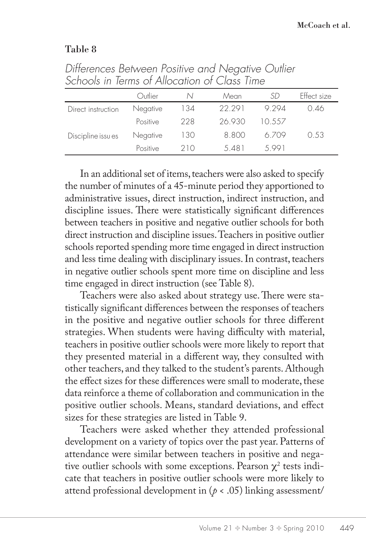| Schools in Terms of Allocation of Class Time |                 |     |        |         |             |
|----------------------------------------------|-----------------|-----|--------|---------|-------------|
|                                              | Outlier         | N   | Mean   | SD.     | Effect size |
| Direct instruction                           | <b>Negative</b> | 134 | 22.291 | 9 2 9 4 | 0.46        |
|                                              | Positive        | 228 | 26.930 | 10.557  |             |
| Discipline issues                            | Negative        | 130 | 8.800  | 6.709   | 0.53        |
|                                              | Positive        | 210 | 5.481  | 5991    |             |

*Differences Between Positive and Negative Outlier Schools in Terms of Allocation of Class Time*

In an additional set of items, teachers were also asked to specify the number of minutes of a 45-minute period they apportioned to administrative issues, direct instruction, indirect instruction, and discipline issues. There were statistically significant differences between teachers in positive and negative outlier schools for both direct instruction and discipline issues. Teachers in positive outlier schools reported spending more time engaged in direct instruction and less time dealing with disciplinary issues. In contrast, teachers in negative outlier schools spent more time on discipline and less time engaged in direct instruction (see Table 8).

Teachers were also asked about strategy use. There were statistically significant differences between the responses of teachers in the positive and negative outlier schools for three different strategies. When students were having difficulty with material, teachers in positive outlier schools were more likely to report that they presented material in a different way, they consulted with other teachers, and they talked to the student's parents. Although the effect sizes for these differences were small to moderate, these data reinforce a theme of collaboration and communication in the positive outlier schools. Means, standard deviations, and effect sizes for these strategies are listed in Table 9.

Teachers were asked whether they attended professional development on a variety of topics over the past year. Patterns of attendance were similar between teachers in positive and negative outlier schools with some exceptions. Pearson  $\chi^2$  tests indicate that teachers in positive outlier schools were more likely to attend professional development in (*p* < .05) linking assessment/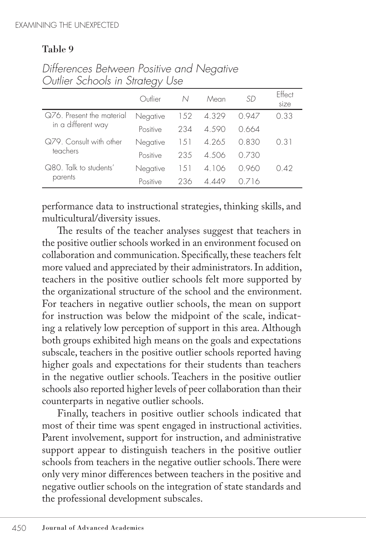|                           | Outlier  | N    | Mean  | SD    | Effect<br>size |
|---------------------------|----------|------|-------|-------|----------------|
| Q76. Present the material | Negative | 152  | 4.329 | 0.947 | 0.33           |
| in a different way        | Positive | 234  | 4.590 | 0.664 |                |
| Q79. Consult with other   | Negative | 151  | 4.265 | 0.830 | 0.31           |
| teachers                  | Positive | 23.5 | 4.506 | 0.730 |                |
| Q80. Talk to students'    | Negative | 151  | 4.106 | 0.960 | 0.42           |
| parents                   | Positive | 236  | 4 449 | 0.716 |                |

*Differences Between Positive and Negative Outlier Schools in Strategy Use*

performance data to instructional strategies, thinking skills, and multicultural/diversity issues.

The results of the teacher analyses suggest that teachers in the positive outlier schools worked in an environment focused on collaboration and communication. Specifically, these teachers felt more valued and appreciated by their administrators. In addition, teachers in the positive outlier schools felt more supported by the organizational structure of the school and the environment. For teachers in negative outlier schools, the mean on support for instruction was below the midpoint of the scale, indicating a relatively low perception of support in this area. Although both groups exhibited high means on the goals and expectations subscale, teachers in the positive outlier schools reported having higher goals and expectations for their students than teachers in the negative outlier schools. Teachers in the positive outlier schools also reported higher levels of peer collaboration than their counterparts in negative outlier schools.

Finally, teachers in positive outlier schools indicated that most of their time was spent engaged in instructional activities. Parent involvement, support for instruction, and administrative support appear to distinguish teachers in the positive outlier schools from teachers in the negative outlier schools. There were only very minor differences between teachers in the positive and negative outlier schools on the integration of state standards and the professional development subscales.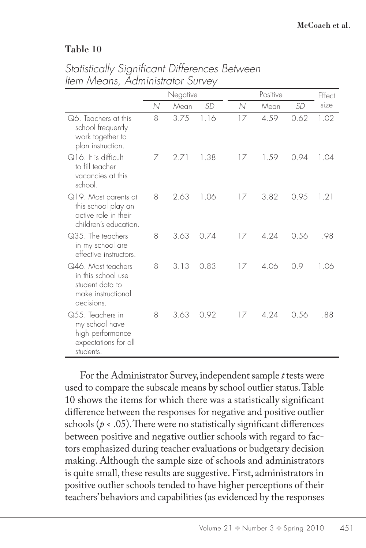|                                                                                                 |   | Negative |           |    | Positive |           | Effect |
|-------------------------------------------------------------------------------------------------|---|----------|-----------|----|----------|-----------|--------|
|                                                                                                 | N | Mean     | <i>SD</i> | N  | Mean     | <b>SD</b> | size   |
| Q6. Teachers at this<br>school frequently<br>work together to<br>plan instruction.              | 8 | 3.75     | 1.16      | 17 | 4.59     | 0.62      | 1.02   |
| Q16. It is difficult<br>to fill teacher<br>vacancies at this<br>school.                         | 7 | 2.71     | 1.38      | 17 | 1.59     | 0.94      | 1.04   |
| Q19. Most parents at<br>this school play an<br>active role in their<br>children's education.    | 8 | 2.63     | 1.06      | 17 | 3.82     | 0.95      | 1.21   |
| Q35. The teachers<br>in my school are<br>effective instructors.                                 | 8 | 3.63     | 0.74      | 17 | 4.24     | 0.56      | .98    |
| Q46. Most teachers<br>in this school use<br>student data to<br>make instructional<br>decisions. | 8 | 3.13     | 0.83      | 17 | 4.06     | 0.9       | 1.06   |
| Q55. Teachers in<br>my school have<br>high performance<br>expectations for all<br>students.     | 8 | 3.63     | 0.92      | 17 | 4.24     | 0.56      | .88    |

*Statistically Significant Differences Between Item Means, Administrator Survey*

For the Administrator Survey, independent sample *t* tests were used to compare the subscale means by school outlier status. Table 10 shows the items for which there was a statistically significant difference between the responses for negative and positive outlier schools ( $p < .05$ ). There were no statistically significant differences between positive and negative outlier schools with regard to factors emphasized during teacher evaluations or budgetary decision making. Although the sample size of schools and administrators is quite small, these results are suggestive. First, administrators in positive outlier schools tended to have higher perceptions of their teachers' behaviors and capabilities (as evidenced by the responses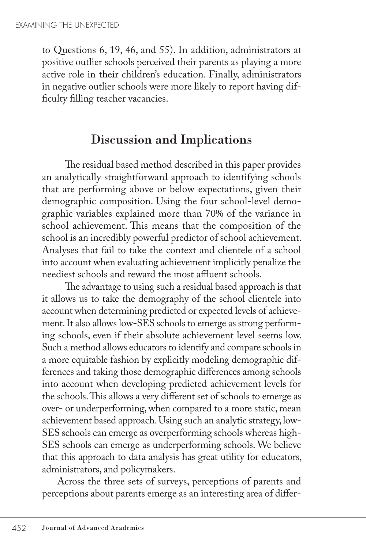to Questions 6, 19, 46, and 55). In addition, administrators at positive outlier schools perceived their parents as playing a more active role in their children's education. Finally, administrators in negative outlier schools were more likely to report having difficulty filling teacher vacancies.

#### Discussion and Implications

The residual based method described in this paper provides an analytically straightforward approach to identifying schools that are performing above or below expectations, given their demographic composition. Using the four school-level demographic variables explained more than 70% of the variance in school achievement. This means that the composition of the school is an incredibly powerful predictor of school achievement. Analyses that fail to take the context and clientele of a school into account when evaluating achievement implicitly penalize the neediest schools and reward the most affluent schools.

The advantage to using such a residual based approach is that it allows us to take the demography of the school clientele into account when determining predicted or expected levels of achievement. It also allows low-SES schools to emerge as strong performing schools, even if their absolute achievement level seems low. Such a method allows educators to identify and compare schools in a more equitable fashion by explicitly modeling demographic differences and taking those demographic differences among schools into account when developing predicted achievement levels for the schools. This allows a very different set of schools to emerge as over- or underperforming, when compared to a more static, mean achievement based approach. Using such an analytic strategy, low-SES schools can emerge as overperforming schools whereas high-SES schools can emerge as underperforming schools. We believe that this approach to data analysis has great utility for educators, administrators, and policymakers.

Across the three sets of surveys, perceptions of parents and perceptions about parents emerge as an interesting area of differ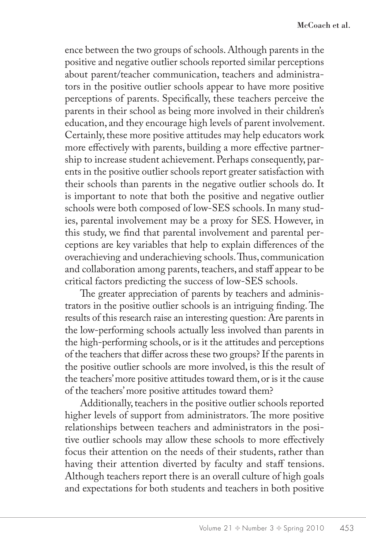ence between the two groups of schools. Although parents in the positive and negative outlier schools reported similar perceptions about parent/teacher communication, teachers and administrators in the positive outlier schools appear to have more positive perceptions of parents. Specifically, these teachers perceive the parents in their school as being more involved in their children's education, and they encourage high levels of parent involvement. Certainly, these more positive attitudes may help educators work more effectively with parents, building a more effective partnership to increase student achievement. Perhaps consequently, parents in the positive outlier schools report greater satisfaction with their schools than parents in the negative outlier schools do. It is important to note that both the positive and negative outlier schools were both composed of low-SES schools. In many studies, parental involvement may be a proxy for SES. However, in this study, we find that parental involvement and parental perceptions are key variables that help to explain differences of the overachieving and underachieving schools. Thus, communication and collaboration among parents, teachers, and staff appear to be critical factors predicting the success of low-SES schools.

The greater appreciation of parents by teachers and administrators in the positive outlier schools is an intriguing finding. The results of this research raise an interesting question: Are parents in the low-performing schools actually less involved than parents in the high-performing schools, or is it the attitudes and perceptions of the teachers that differ across these two groups? If the parents in the positive outlier schools are more involved, is this the result of the teachers' more positive attitudes toward them, or is it the cause of the teachers' more positive attitudes toward them?

Additionally, teachers in the positive outlier schools reported higher levels of support from administrators. The more positive relationships between teachers and administrators in the positive outlier schools may allow these schools to more effectively focus their attention on the needs of their students, rather than having their attention diverted by faculty and staff tensions. Although teachers report there is an overall culture of high goals and expectations for both students and teachers in both positive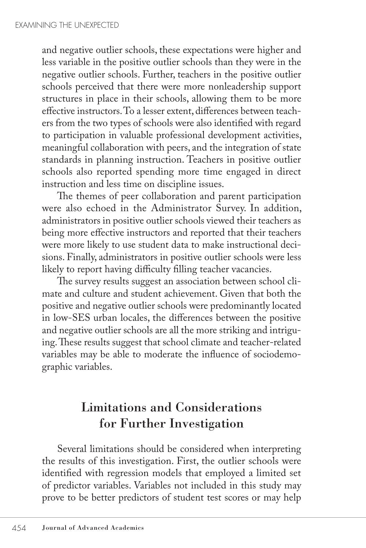and negative outlier schools, these expectations were higher and less variable in the positive outlier schools than they were in the negative outlier schools. Further, teachers in the positive outlier schools perceived that there were more nonleadership support structures in place in their schools, allowing them to be more effective instructors. To a lesser extent, differences between teachers from the two types of schools were also identified with regard to participation in valuable professional development activities, meaningful collaboration with peers, and the integration of state standards in planning instruction. Teachers in positive outlier schools also reported spending more time engaged in direct instruction and less time on discipline issues.

The themes of peer collaboration and parent participation were also echoed in the Administrator Survey. In addition, administrators in positive outlier schools viewed their teachers as being more effective instructors and reported that their teachers were more likely to use student data to make instructional decisions. Finally, administrators in positive outlier schools were less likely to report having difficulty filling teacher vacancies.

The survey results suggest an association between school climate and culture and student achievement. Given that both the positive and negative outlier schools were predominantly located in low-SES urban locales, the differences between the positive and negative outlier schools are all the more striking and intriguing. These results suggest that school climate and teacher-related variables may be able to moderate the influence of sociodemographic variables.

# Limitations and Considerations for Further Investigation

Several limitations should be considered when interpreting the results of this investigation. First, the outlier schools were identified with regression models that employed a limited set of predictor variables. Variables not included in this study may prove to be better predictors of student test scores or may help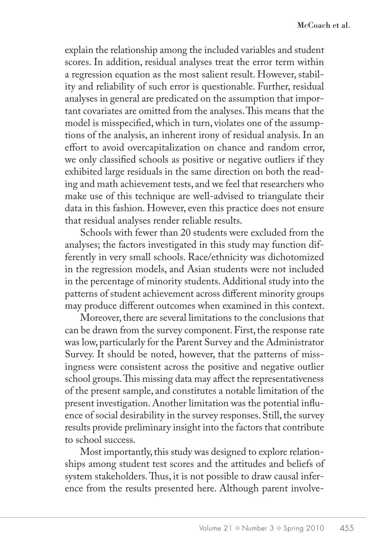explain the relationship among the included variables and student scores. In addition, residual analyses treat the error term within a regression equation as the most salient result. However, stability and reliability of such error is questionable. Further, residual analyses in general are predicated on the assumption that important covariates are omitted from the analyses. This means that the model is misspecified, which in turn, violates one of the assumptions of the analysis, an inherent irony of residual analysis. In an effort to avoid overcapitalization on chance and random error, we only classified schools as positive or negative outliers if they exhibited large residuals in the same direction on both the reading and math achievement tests, and we feel that researchers who make use of this technique are well-advised to triangulate their data in this fashion. However, even this practice does not ensure that residual analyses render reliable results.

Schools with fewer than 20 students were excluded from the analyses; the factors investigated in this study may function differently in very small schools. Race/ethnicity was dichotomized in the regression models, and Asian students were not included in the percentage of minority students. Additional study into the patterns of student achievement across different minority groups may produce different outcomes when examined in this context.

Moreover, there are several limitations to the conclusions that can be drawn from the survey component. First, the response rate was low, particularly for the Parent Survey and the Administrator Survey. It should be noted, however, that the patterns of missingness were consistent across the positive and negative outlier school groups. This missing data may affect the representativeness of the present sample, and constitutes a notable limitation of the present investigation. Another limitation was the potential influence of social desirability in the survey responses. Still, the survey results provide preliminary insight into the factors that contribute to school success.

Most importantly, this study was designed to explore relationships among student test scores and the attitudes and beliefs of system stakeholders. Thus, it is not possible to draw causal inference from the results presented here. Although parent involve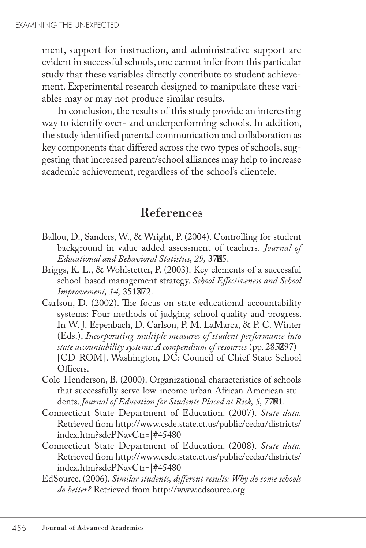ment, support for instruction, and administrative support are evident in successful schools, one cannot infer from this particular study that these variables directly contribute to student achievement. Experimental research designed to manipulate these variables may or may not produce similar results.

In conclusion, the results of this study provide an interesting way to identify over- and underperforming schools. In addition, the study identified parental communication and collaboration as key components that differed across the two types of schools, suggesting that increased parent/school alliances may help to increase academic achievement, regardless of the school's clientele.

# References

- Ballou, D., Sanders, W., & Wright, P. (2004). Controlling for student background in value-added assessment of teachers. *Journal of Educational and Behavioral Statistics, 29,* 37±65.
- Briggs, K. L., & Wohlstetter, P. (2003). Key elements of a successful school-based management strategy. *School Effectiveness and School Improvement, 14, 351872.*
- Carlson, D. (2002). The focus on state educational accountability systems: Four methods of judging school quality and progress. In W. J. Erpenbach, D. Carlson, P. M. LaMarca, & P. C. Winter (Eds.), *Incorporating multiple measures of student performance into state accountability systems: A compendium of resources* (pp. 285297) [CD-ROM]. Washington, DC: Council of Chief State School Officers.
- Cole-Henderson, B. (2000). Organizational characteristics of schools that successfully serve low-income urban African American students. *Journal of Education for Students Placed at Risk*, 5, 7791.
- Connecticut State Department of Education. (2007). *State data.*  Retrieved from http://www.csde.state.ct.us/public/cedar/districts/ index.htm?sdePNavCtr=|#45480
- Connecticut State Department of Education. (2008). *State data.*  Retrieved from http://www.csde.state.ct.us/public/cedar/districts/ index.htm?sdePNavCtr=|#45480
- EdSource. (2006). *Similar students, different results: Why do some schools do better?* Retrieved from http://www.edsource.org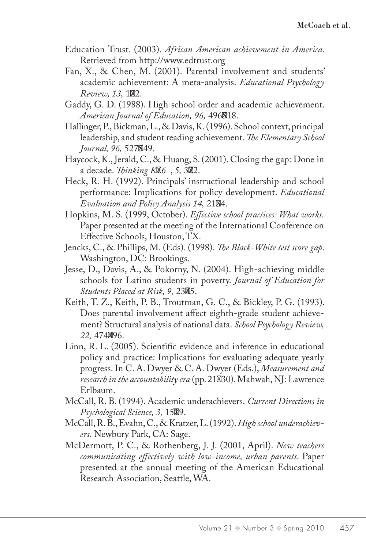- Education Trust. (2003). *African American achievement in America*. Retrieved from http://www.edtrust.org
- Fan, X., & Chen, M. (2001). Parental involvement and students' academic achievement: A meta-analysis. *Educational Psychology Review, 13,* 1±22.
- Gaddy, G. D. (1988). High school order and academic achievement. *American Journal of Education, 96, 496818.*
- Hallinger, P., Bickman, L., & Davis, K. (1996). School context, principal leadership, and student reading achievement. *The Elementary School*  Journal, 96, 527849.
- Haycock, K., Jerald, C., & Huang, S. (2001). Closing the gap: Done in a decade. *Thinking K\Mo*, 5, 3\M\mathbb{2}2.
- Heck, R. H. (1992). Principals' instructional leadership and school performance: Implications for policy development. *Educational Evaluation and Policy Analysis 14, 2184.*
- Hopkins, M. S. (1999, October). *Effective school practices: What works.* Paper presented at the meeting of the International Conference on Effective Schools, Houston, TX.
- Jencks, C., & Phillips, M. (Eds). (1998). *The Black-White test score gap*. Washington, DC: Brookings.
- Jesse, D., Davis, A., & Pokorny, N. (2004). High-achieving middle schools for Latino students in poverty. *Journal of Education for Students Placed at Risk, 9,* 23±45.
- Keith, T. Z., Keith, P. B., Troutman, G. C., & Bickley, P. G. (1993). Does parental involvement affect eighth-grade student achievement? Structural analysis of national data. *School Psychology Review, 22,* 474±496.
- Linn, R. L. (2005). Scientific evidence and inference in educational policy and practice: Implications for evaluating adequate yearly progress. In C. A. Dwyer & C. A. Dwyer (Eds.), *Measurement and research in the accountability era* (pp. 21 $\boxtimes$ 30). Mahwah, NJ: Lawrence Erlbaum.
- McCall, R. B. (1994). Academic underachievers. *Current Directions in Psychological Science, 3,* 15±19.
- McCall, R. B., Evahn, C., & Kratzer, L. (1992). *High school underachievers.* Newbury Park, CA: Sage.
- McDermott, P. C., & Rothenberg, J. J. (2001, April). *New teachers communicating effectively with low-income, urban parents*. Paper presented at the annual meeting of the American Educational Research Association, Seattle, WA.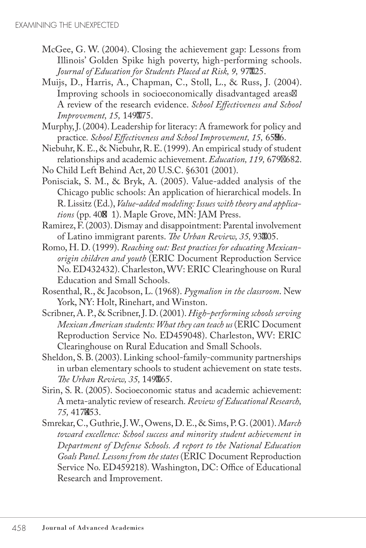- McGee, G. W. (2004). Closing the achievement gap: Lessons from Illinois' Golden Spike high poverty, high-performing schools. *Journal of Education for Students Placed at Risk, 9, 97825.*
- Muijs, D., Harris, A., Chapman, C., Stoll, L., & Russ, J. (2004). Improving schools in socioeconomically disadvantaged areas<sup>®</sup> A review of the research evidence. *School Effectiveness and School Improvement, 15, 149175.*
- Murphy, J. (2004). Leadership for literacy: A framework for policy and practice. School Effectiveness and School Improvement, 15, 65<sup>26</sup>6.
- Niebuhr, K. E., & Niebuhr, R. E. (1999). An empirical study of student relationships and academic achievement. *Education*, 119, 679<sub>8682</sub>. No Child Left Behind Act, 20 U.S.C. §6301 (2001).
- Ponisciak, S. M., & Bryk, A. (2005). Value-added analysis of the Chicago public schools: An application of hierarchical models. In R. Lissitz (Ed.), *Value-added modeling: Issues with theory and applications* (pp. 40<sup>8</sup>1). Maple Grove, MN: JAM Press.
- Ramirez, F. (2003). Dismay and disappointment: Parental involvement of Latino immigrant parents. *The Urban Review, 35,* 93±105.
- Romo, H. D. (1999). *Reaching out: Best practices for educating Mexicanorigin children and youth* (ERIC Document Reproduction Service No. ED432432). Charleston, WV: ERIC Clearinghouse on Rural Education and Small Schools.
- Rosenthal, R., & Jacobson, L. (1968). *Pygmalion in the classroom*. New York, NY: Holt, Rinehart, and Winston.
- Scribner, A. P., & Scribner, J. D. (2001). *High-performing schools serving Mexican American students: What they can teach us* (ERIC Document Reproduction Service No. ED459048). Charleston, WV: ERIC Clearinghouse on Rural Education and Small Schools.
- Sheldon, S. B. (2003). Linking school-family-community partnerships in urban elementary schools to student achievement on state tests. *The Urban Review, 35,* 149±165.
- Sirin, S. R. (2005). Socioeconomic status and academic achievement: A meta-analytic review of research*. Review of Educational Research, 75,* 417±453.
- Smrekar, C., Guthrie, J. W., Owens, D. E., & Sims, P. G. (2001). *March toward excellence: School success and minority student achievement in Department of Defense Schools. A report to the National Education Goals Panel. Lessons from the states* (ERIC Document Reproduction Service No. ED459218)*.* Washington, DC: Office of Educational Research and Improvement.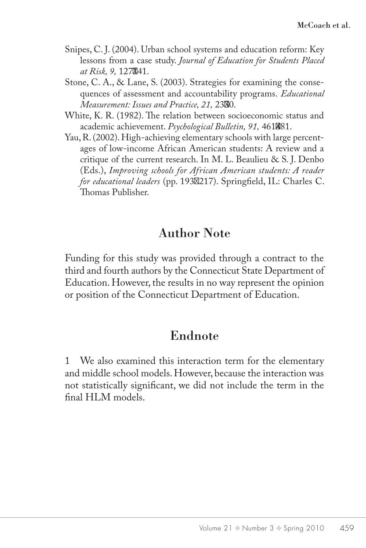- Snipes, C. J. (2004). Urban school systems and education reform: Key lessons from a case study. *Journal of Education for Students Placed at Risk, 9,* 127±141.
- Stone, C. A., & Lane, S. (2003). Strategies for examining the consequences of assessment and accountability programs. *Educational Measurement: Issues and Practice, 21, 2380.*
- White, K. R. (1982). The relation between socioeconomic status and academic achievement. *Psychological Bulletin*, 91, 461281.
- Yau, R. (2002). High-achieving elementary schools with large percentages of low-income African American students: A review and a critique of the current research. In M. L. Beaulieu & S. J. Denbo (Eds.), *Improving schools for African American students: A reader for educational leaders* (pp. 193 $\boxtimes$ 217). Springfield, IL: Charles C. Thomas Publisher.

# Author Note

Funding for this study was provided through a contract to the third and fourth authors by the Connecticut State Department of Education. However, the results in no way represent the opinion or position of the Connecticut Department of Education.

# Endnote

1 We also examined this interaction term for the elementary and middle school models. However, because the interaction was not statistically significant, we did not include the term in the final HLM models.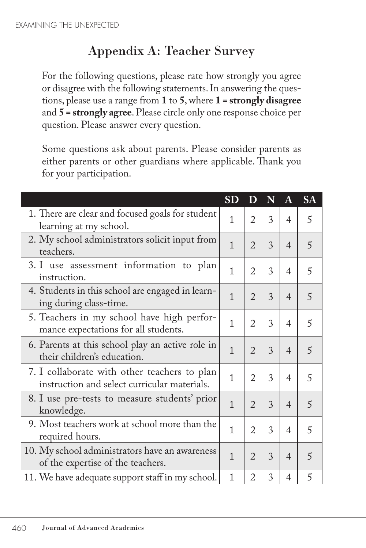# Appendix A: Teacher Survey

For the following questions, please rate how strongly you agree or disagree with the following statements. In answering the questions, please use a range from **1** to **5**, where **1 = strongly disagree** and **5 = strongly agree**. Please circle only one response choice per question. Please answer every question.

Some questions ask about parents. Please consider parents as either parents or other guardians where applicable. Thank you for your participation.

|                                                                                              | <b>SD</b>      | D              | N | $\bf{A}$       | <b>SA</b>      |
|----------------------------------------------------------------------------------------------|----------------|----------------|---|----------------|----------------|
| 1. There are clear and focused goals for student<br>learning at my school.                   | 1              | $\overline{2}$ | 3 | 4              | 5              |
| 2. My school administrators solicit input from<br>teachers.                                  | $\mathbf{1}$   | $\overline{2}$ | 3 | $\overline{4}$ | 5              |
| 3. I use assessment information to plan<br>instruction.                                      | 1              | 2              | 3 | 4              | 5              |
| 4. Students in this school are engaged in learn-<br>ing during class-time.                   | $\mathbf{1}$   | $\overline{2}$ | 3 | $\overline{4}$ | 5              |
| 5. Teachers in my school have high perfor-<br>mance expectations for all students.           | $\mathbf{1}$   | $\overline{2}$ | 3 | 4              | 5              |
| 6. Parents at this school play an active role in<br>their children's education.              | $\mathbf{1}$   | $\overline{2}$ | 3 | $\overline{4}$ | 5              |
| 7. I collaborate with other teachers to plan<br>instruction and select curricular materials. | $\overline{1}$ | 2              | 3 | 4              | 5              |
| 8. I use pre-tests to measure students' prior<br>knowledge.                                  | $\mathbf{1}$   | $\overline{2}$ | 3 | $\overline{4}$ | $\overline{5}$ |
| 9. Most teachers work at school more than the<br>required hours.                             | 1              | $\overline{2}$ | 3 | 4              | 5              |
| 10. My school administrators have an awareness<br>of the expertise of the teachers.          | $\overline{1}$ | $\overline{2}$ | 3 | $\overline{4}$ | 5              |
| 11. We have adequate support staff in my school.                                             | $\mathbf{1}$   | $\overline{2}$ | 3 | 4              | 5              |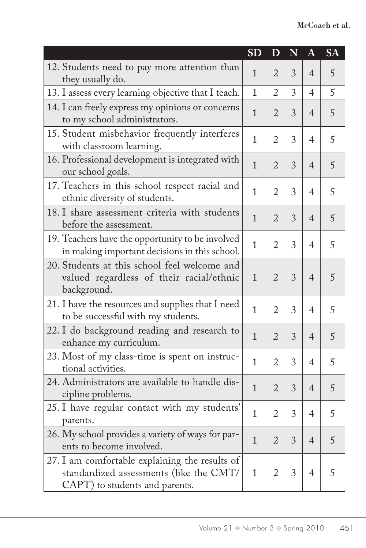|                                                                                                                             | <b>SD</b>      | $\mathbf D$    | $\mathbf N$ | $\mathbf{A}$             | <b>SA</b> |
|-----------------------------------------------------------------------------------------------------------------------------|----------------|----------------|-------------|--------------------------|-----------|
| 12. Students need to pay more attention than<br>they usually do.                                                            | $\mathbf{1}$   | $\overline{2}$ | 3           | $\overline{4}$           | 5         |
| 13. I assess every learning objective that I teach.                                                                         | 1              | $\overline{2}$ | 3           | 4                        | 5         |
| 14. I can freely express my opinions or concerns<br>to my school administrators.                                            | $\overline{1}$ | $\overline{2}$ | 3           | $\overline{4}$           | 5         |
| 15. Student misbehavior frequently interferes<br>with classroom learning.                                                   | $\mathbf{1}$   | 2              | 3           | 4                        | 5         |
| 16. Professional development is integrated with<br>our school goals.                                                        | $\overline{1}$ | $\overline{2}$ | 3           | $\overline{4}$           | 5         |
| 17. Teachers in this school respect racial and<br>ethnic diversity of students.                                             | $\mathbf{1}$   | $\overline{2}$ | 3           | 4                        | 5         |
| 18. I share assessment criteria with students<br>before the assessment.                                                     | $\overline{1}$ | $\overline{2}$ | 3           | $\overline{4}$           | 5         |
| 19. Teachers have the opportunity to be involved<br>in making important decisions in this school.                           | 1              | 2              | 3           | 4                        | 5         |
| 20. Students at this school feel welcome and<br>valued regardless of their racial/ethnic<br>background.                     | $\mathbf{1}$   | $\overline{2}$ | 3           | $\overline{4}$           | 5         |
| 21. I have the resources and supplies that I need<br>to be successful with my students.                                     | $\mathbf{1}$   | $\overline{2}$ | 3           | $\overline{\mathcal{A}}$ | 5         |
| 22. I do background reading and research to<br>enhance my curriculum.                                                       | $\mathbf{1}$   | $\overline{2}$ | 3           | $\overline{4}$           | 5         |
| 23. Most of my class-time is spent on instruc-<br>tional activities.                                                        | $\mathbf{1}$   | 2              | 3           | 4                        | 5         |
| 24. Administrators are available to handle dis-<br>cipline problems.                                                        | $\mathbf{1}$   | $\overline{2}$ | 3           | $\overline{4}$           | 5         |
| 25. I have regular contact with my students'<br>parents.                                                                    | 1              | 2              | 3           | 4                        | 5         |
| 26. My school provides a variety of ways for par-<br>ents to become involved.                                               | $\mathbf{1}$   | $\overline{2}$ | 3           | $\overline{4}$           | 5         |
| 27. I am comfortable explaining the results of<br>standardized assessments (like the CMT/<br>CAPT) to students and parents. | $\mathbf{1}$   | $\overline{2}$ | 3           | $\overline{4}$           | 5         |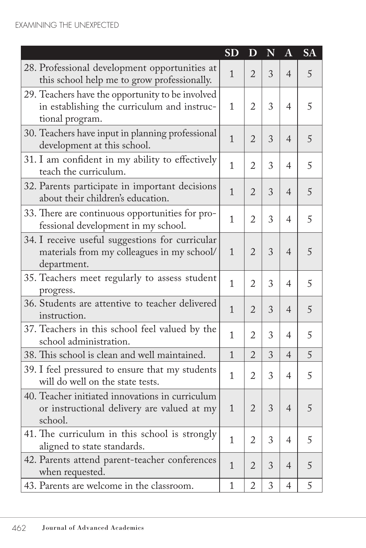|                                                                                                                    | <b>SD</b>      | D              | $\mathbf N$ | $\overline{A}$ | <b>SA</b>      |
|--------------------------------------------------------------------------------------------------------------------|----------------|----------------|-------------|----------------|----------------|
| 28. Professional development opportunities at<br>this school help me to grow professionally.                       | 1              | $\overline{2}$ | 3           | $\overline{4}$ | 5              |
| 29. Teachers have the opportunity to be involved<br>in establishing the curriculum and instruc-<br>tional program. | $\mathbf{1}$   | $\overline{2}$ | 3           | 4              | 5              |
| 30. Teachers have input in planning professional<br>development at this school.                                    | $\mathbf{1}$   | $\overline{2}$ | 3           | $\overline{4}$ | 5              |
| 31. I am confident in my ability to effectively<br>teach the curriculum.                                           | $\mathbf{1}$   | $\overline{2}$ | 3           | 4              | 5              |
| 32. Parents participate in important decisions<br>about their children's education.                                | $\mathbf{1}$   | $\overline{2}$ | 3           | 4              | 5              |
| 33. There are continuous opportunities for pro-<br>fessional development in my school.                             | $\mathbf{1}$   | $\overline{2}$ | 3           | 4              | 5              |
| 34. I receive useful suggestions for curricular<br>materials from my colleagues in my school/<br>department.       | $\mathbf{1}$   | $\overline{2}$ | 3           | $\overline{4}$ | 5              |
| 35. Teachers meet regularly to assess student<br>progress.                                                         | $\mathbf{1}$   | $\overline{2}$ | 3           | 4              | 5              |
| 36. Students are attentive to teacher delivered<br>instruction.                                                    | $\mathbf{1}$   | $\overline{2}$ | 3           | $\overline{4}$ | 5              |
| 37. Teachers in this school feel valued by the<br>school administration.                                           | $\mathbf{1}$   | $\overline{2}$ | 3           | 4              | 5              |
| 38. This school is clean and well maintained.                                                                      | $\overline{1}$ | $\overline{2}$ | 3           | $\overline{4}$ | $\overline{5}$ |
| 39. I feel pressured to ensure that my students<br>will do well on the state tests.                                | $\mathbf{1}$   | $\overline{2}$ | 3           | 4              | 5              |
| 40. Teacher initiated innovations in curriculum<br>or instructional delivery are valued at my<br>school.           | $\mathbf{1}$   | $\overline{2}$ | 3           | $\overline{4}$ | 5              |
| 41. The curriculum in this school is strongly<br>aligned to state standards.                                       | $\mathbf{1}$   | $\overline{2}$ | 3           | 4              | 5              |
| 42. Parents attend parent-teacher conferences<br>when requested.                                                   | $\mathbf{1}$   | $\overline{2}$ | 3           | $\overline{4}$ | 5              |
| 43. Parents are welcome in the classroom.                                                                          | $\mathbf{1}$   | $\overline{2}$ | 3           | $\overline{4}$ | 5              |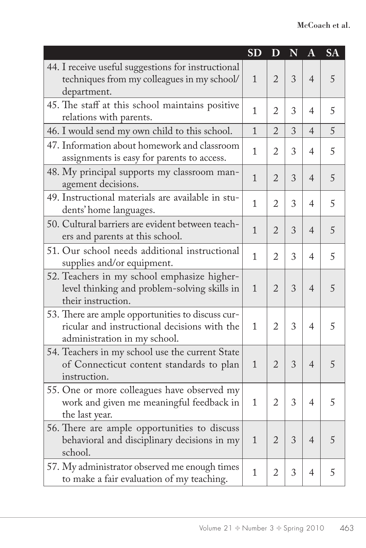|                                                                                                                                   | <b>SD</b>      | D              | N | $\mathbf{A}$   | <b>SA</b> |
|-----------------------------------------------------------------------------------------------------------------------------------|----------------|----------------|---|----------------|-----------|
| 44. I receive useful suggestions for instructional<br>techniques from my colleagues in my school/<br>department.                  | $\mathbf{1}$   | $\overline{2}$ | 3 | 4              | 5         |
| 45. The staff at this school maintains positive<br>relations with parents.                                                        | 1              | 2              | 3 | 4              | 5         |
| 46. I would send my own child to this school.                                                                                     | $\overline{1}$ | $\overline{2}$ | 3 | 4              | 5         |
| 47. Information about homework and classroom<br>assignments is easy for parents to access.                                        | $\mathbf{1}$   | $\overline{2}$ | 3 | 4              | 5         |
| 48. My principal supports my classroom man-<br>agement decisions.                                                                 | $\mathbf{1}$   | $\overline{2}$ | 3 | 4              | 5         |
| 49. Instructional materials are available in stu-<br>dents' home languages.                                                       | $\mathbf{1}$   | $\overline{2}$ | 3 | 4              | 5         |
| 50. Cultural barriers are evident between teach-<br>ers and parents at this school.                                               | $\overline{1}$ | $\overline{2}$ | 3 | 4              | 5         |
| 51. Our school needs additional instructional<br>supplies and/or equipment.                                                       | $\mathbf{1}$   | $\overline{2}$ | 3 | 4              | 5         |
| 52. Teachers in my school emphasize higher-<br>level thinking and problem-solving skills in<br>their instruction.                 | $\mathbf{1}$   | $\overline{2}$ | 3 | 4              | 5         |
| 53. There are ample opportunities to discuss cur-<br>ricular and instructional decisions with the<br>administration in my school. | $\mathbf{1}$   | $\overline{2}$ | 3 | 4              | 5         |
| 54. Teachers in my school use the current State<br>of Connecticut content standards to plan<br>instruction.                       | $\mathbf{1}$   | 2              | 3 | 4              | 5         |
| 55. One or more colleagues have observed my<br>work and given me meaningful feedback in<br>the last year.                         | $\mathbf{1}$   | $\overline{2}$ | 3 | $\overline{4}$ | 5         |
| 56. There are ample opportunities to discuss<br>behavioral and disciplinary decisions in my<br>school.                            | $\mathbf{1}$   | $\overline{2}$ | 3 | 4              | 5         |
| 57. My administrator observed me enough times<br>to make a fair evaluation of my teaching.                                        | 1              | 2              | 3 | 4              | 5         |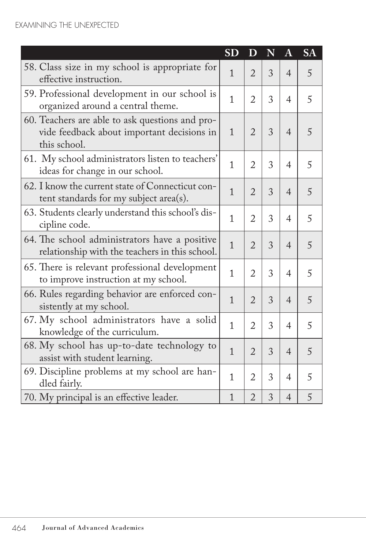|                                                                                                               | <b>SD</b>      | D              | N | $\bf{A}$       | <b>SA</b>      |
|---------------------------------------------------------------------------------------------------------------|----------------|----------------|---|----------------|----------------|
| 58. Class size in my school is appropriate for<br>effective instruction.                                      | $\mathbf{1}$   | $\overline{2}$ | 3 | $\overline{4}$ | 5              |
| 59. Professional development in our school is<br>organized around a central theme.                            | $\overline{1}$ | $\overline{2}$ | 3 | $\overline{4}$ | 5              |
| 60. Teachers are able to ask questions and pro-<br>vide feedback about important decisions in<br>this school. | $\mathbf{1}$   | $\overline{2}$ | 3 | $\overline{4}$ | 5              |
| 61. My school administrators listen to teachers'<br>ideas for change in our school.                           | $\mathbf{1}$   | $\overline{2}$ | 3 | $\overline{A}$ | 5              |
| 62. I know the current state of Connecticut con-<br>tent standards for my subject area(s).                    | $\mathbf{1}$   | $\overline{2}$ | 3 | $\overline{4}$ | 5              |
| 63. Students clearly understand this school's dis-<br>cipline code.                                           | $\overline{1}$ | $\overline{2}$ | 3 | 4              | 5              |
| 64. The school administrators have a positive<br>relationship with the teachers in this school.               | $\mathbf{1}$   | $\overline{2}$ | 3 | $\overline{4}$ | 5              |
| 65. There is relevant professional development<br>to improve instruction at my school.                        | $\overline{1}$ | $\overline{2}$ | 3 | $\overline{4}$ | 5              |
| 66. Rules regarding behavior are enforced con-<br>sistently at my school.                                     | $\overline{1}$ | $\overline{2}$ | 3 | $\overline{4}$ | 5              |
| 67. My school administrators have a solid<br>knowledge of the curriculum.                                     | $\overline{1}$ | $\overline{2}$ | 3 | $\overline{A}$ | 5              |
| 68. My school has up-to-date technology to<br>assist with student learning.                                   | $\overline{1}$ | $\overline{2}$ | 3 | $\overline{4}$ | $\overline{5}$ |
| 69. Discipline problems at my school are han-<br>dled fairly.                                                 | $\overline{1}$ | $\overline{2}$ | 3 | $\overline{4}$ | 5              |
| 70. My principal is an effective leader.                                                                      | $\mathbf{1}$   | $\overline{2}$ | 3 | 4              | $\overline{5}$ |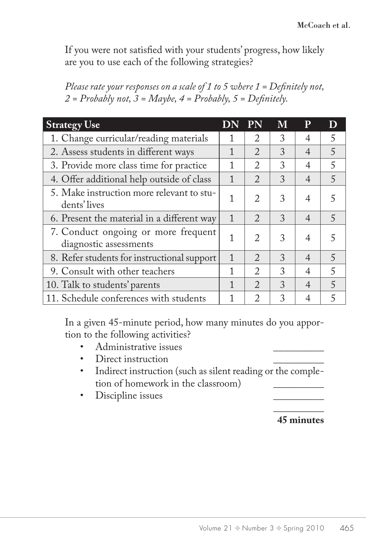If you were not satisfied with your students' progress, how likely are you to use each of the following strategies?

*Please rate your responses on a scale of 1 to 5 where 1 = Definitely not, 2 = Probably not, 3 = Maybe, 4 = Probably, 5 = Definitely.*

| <b>Strategy Use</b>                                           | DN | PN                            | $\bf M$ | P              | D              |
|---------------------------------------------------------------|----|-------------------------------|---------|----------------|----------------|
| 1. Change curricular/reading materials                        |    | $\mathcal{D}_{\mathcal{L}}$   | 3       | 4              | 5              |
| 2. Assess students in different ways                          |    | 2                             | 3       | $\overline{4}$ | 5              |
| 3. Provide more class time for practice                       |    | 2                             | 3       | 4              | 5              |
| 4. Offer additional help outside of class                     |    | 2                             | 3       | $\overline{4}$ | 5              |
| 5. Make instruction more relevant to stu-<br>dents' lives     |    | 2                             | 3       | 4              |                |
| 6. Present the material in a different way                    | 1  | $\mathfrak{D}$                | 3       | $\overline{4}$ | 5              |
| 7. Conduct ongoing or more frequent<br>diagnostic assessments | 1  | 2                             | 3       | 4              |                |
| 8. Refer students for instructional support                   | 1  | $\overline{2}$                | 3       | $\overline{4}$ | 5              |
| 9. Consult with other teachers                                | 1  | 2                             | 3       | 4              | 5              |
| 10. Talk to students' parents                                 | 1  | $\mathfrak{D}$                | 3       | $\overline{4}$ | $\overline{5}$ |
| 11. Schedule conferences with students                        |    | $\mathfrak{D}_{\mathfrak{p}}$ | 3       | 4              |                |

In a given 45-minute period, how many minutes do you apportion to the following activities?

- Administrative issues \_\_\_\_\_\_\_\_\_\_
- Direct instruction
- Indirect instruction (such as silent reading or the completion of homework in the classroom) \_\_\_\_\_\_\_\_\_\_
- Discipline issues

 \_\_\_\_\_\_\_\_\_\_ **45 minutes**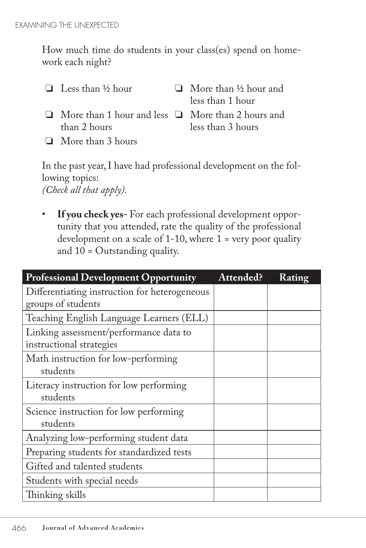How much time do students in your class(es) spend on homework each night?

- $\Box$  Less than ½ hour  $\Box$  More than ½ hour and less than 1 hour
- ❏ More than 1 hour and less ❏ More than 2 hours and than 2 hours
- less than 3 hours
- ❏ More than 3 hours

In the past year, I have had professional development on the following topics: *(Check all that apply).* 

• **If you check yes-** For each professional development opportunity that you attended, rate the quality of the professional development on a scale of  $1-10$ , where  $1 =$  very poor quality and 10 = Outstanding quality.

| <b>Professional Development Opportunity</b>   | Attended? | Rating |
|-----------------------------------------------|-----------|--------|
| Differentiating instruction for heterogeneous |           |        |
| groups of students                            |           |        |
| Teaching English Language Learners (ELL)      |           |        |
| Linking assessment/performance data to        |           |        |
| instructional strategies                      |           |        |
| Math instruction for low-performing           |           |        |
| students                                      |           |        |
| Literacy instruction for low performing       |           |        |
| students                                      |           |        |
| Science instruction for low performing        |           |        |
| students                                      |           |        |
| Analyzing low-performing student data         |           |        |
| Preparing students for standardized tests     |           |        |
| Gifted and talented students                  |           |        |
| Students with special needs                   |           |        |
| Thinking skills                               |           |        |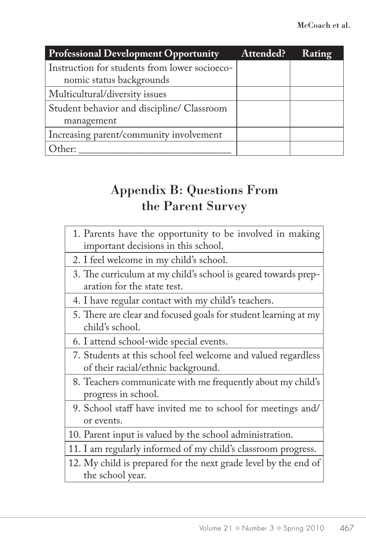| <b>Professional Development Opportunity</b>   | Attended? | Rating |
|-----------------------------------------------|-----------|--------|
| Instruction for students from lower socioeco- |           |        |
| nomic status backgrounds                      |           |        |
| Multicultural/diversity issues                |           |        |
| Student behavior and discipline/ Classroom    |           |        |
| management                                    |           |        |
| Increasing parent/community involvement       |           |        |
| ther:                                         |           |        |

# Appendix B: Questions From the Parent Survey

- 1. Parents have the opportunity to be involved in making important decisions in this school.
- 2. I feel welcome in my child's school.
- 3. The curriculum at my child's school is geared towards preparation for the state test.
- 4. I have regular contact with my child's teachers.
- 5. There are clear and focused goals for student learning at my child's school.
- 6. I attend school-wide special events.
- 7. Students at this school feel welcome and valued regardless of their racial/ethnic background.
- 8. Teachers communicate with me frequently about my child's progress in school.
- 9. School staff have invited me to school for meetings and/ or events.

10. Parent input is valued by the school administration.

11. I am regularly informed of my child's classroom progress.

12. My child is prepared for the next grade level by the end of the school year.